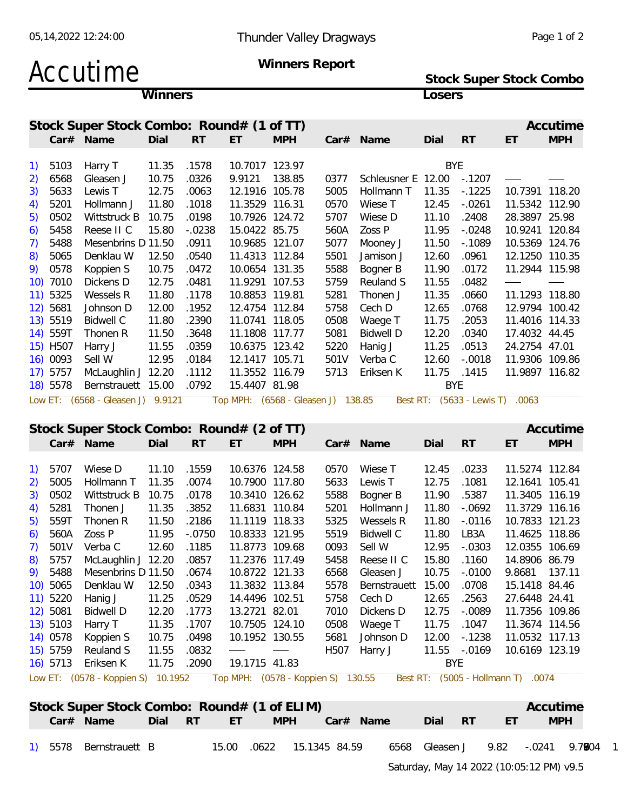**Stock Super Stock Combo**

## Accutime **Winners Report**

|     |          |                                             | Winners     |           |                                    |            |      |                           | Losers      |                                 |                                    |            |
|-----|----------|---------------------------------------------|-------------|-----------|------------------------------------|------------|------|---------------------------|-------------|---------------------------------|------------------------------------|------------|
|     |          | Stock Super Stock Combo: Round# (1 of TT)   |             |           |                                    |            |      |                           |             |                                 |                                    | Accutime   |
|     |          | Car# Name                                   | Dial        | RT        | ET                                 | <b>MPH</b> |      | Car# Name                 | Dial        | <b>RT</b>                       | ET                                 | <b>MPH</b> |
| 1)  | 5103     | Harry T                                     | 11.35       | .1578     | 10.7017 123.97                     |            |      |                           | <b>BYE</b>  |                                 |                                    |            |
| 2)  | 6568     | Gleasen J                                   | 10.75       | .0326     | 9.9121 138.85                      |            | 0377 | Schleusner E 12.00 -.1207 |             |                                 |                                    |            |
| 3)  | 5633     | Lewis T                                     | 12.75       | .0063     | 12.1916 105.78                     |            | 5005 | Hollmann T                | 11.35       | $-1225$                         | 10.7391 118.20                     |            |
| 4)  | 5201     | Hollmann J                                  | 11.80       | .1018     | 11.3529 116.31                     |            | 0570 | Wiese T                   | 12.45       | $-.0261$                        | 11.5342 112.90                     |            |
| 5)  | 0502     | Wittstruck B                                | 10.75       | .0198     | 10.7926 124.72                     |            | 5707 | Wiese D                   | 11.10       | .2408                           | 28.3897 25.98                      |            |
| 6)  | 5458     | Reese II C                                  | 15.80       | $-.0238$  | 15.0422 85.75                      |            | 560A | Zoss P                    | 11.95       | $-.0248$                        | 10.9241 120.84                     |            |
| 7)  | 5488     | Mesenbrins D 11.50                          |             | .0911     | 10.9685 121.07                     |            | 5077 | Mooney J                  | 11.50       | $-0.1089$                       | 10.5369 124.76                     |            |
| 8)  | 5065     | Denklau W                                   | 12.50       | .0540     | 11.4313 112.84                     |            | 5501 | Jamison J                 | 12.60       | .0961                           | 12.1250 110.35                     |            |
| 9). | 0578     | Koppien S                                   | 10.75       | .0472     | 10.0654 131.35                     |            | 5588 | Bogner B                  | 11.90       | .0172                           | 11.2944 115.98                     |            |
|     | 10) 7010 | Dickens D                                   | 12.75       | .0481     | 11.9291 107.53                     |            | 5759 | Reuland S                 | 11.55       | .0482                           |                                    |            |
|     | 11) 5325 | Wessels R                                   | 11.80       | .1178     | 10.8853 119.81                     |            | 5281 | Thonen J                  | 11.35       | .0660                           | 11.1293 118.80                     |            |
|     | 12) 5681 | Johnson D                                   | 12.00       | .1952     | 12.4754 112.84                     |            | 5758 | Cech D                    | 12.65       | .0768                           | 12.9794 100.42                     |            |
|     | 13) 5519 | <b>Bidwell C</b>                            | 11.80       | .2390     | 11.0741 118.05                     |            | 0508 | Waege T                   | 11.75       | .2053                           | 11.4016 114.33                     |            |
|     | 14) 559T | Thonen R                                    | 11.50       | .3648     | 11.1808 117.77                     |            | 5081 | <b>Bidwell D</b>          | 12.20       | .0340                           | 17.4032 44.45                      |            |
|     | 15) H507 | Harry J                                     | 11.55       | .0359     | 10.6375 123.42                     |            | 5220 | Hanig J                   | 11.25       | .0513                           | 24.2754 47.01                      |            |
|     | 16) 0093 | Sell W                                      | 12.95       | .0184     | 12.1417 105.71                     |            | 501V | Verba C                   | 12.60       | $-.0018$                        | 11.9306 109.86                     |            |
|     | 17) 5757 | McLaughlin J 12.20                          |             | .1112     | 11.3552 116.79                     |            | 5713 | Eriksen K                 | 11.75 .1415 |                                 | 11.9897 116.82                     |            |
|     | 18) 5578 | Bernstrauett 15.00                          |             | .0792     | 15.4407 81.98                      |            |      |                           | <b>BYE</b>  |                                 |                                    |            |
|     |          | Low ET: (6568 - Gleasen J) 9.9121           |             |           | Top MPH: (6568 - Gleasen J) 138.85 |            |      |                           |             | Best RT: (5633 - Lewis T) .0063 |                                    |            |
|     |          |                                             |             |           |                                    |            |      |                           |             |                                 |                                    |            |
|     |          | Stock Super Stock Combo: Round# (2 of TT)   |             |           |                                    |            |      |                           |             |                                 |                                    | Accutime   |
|     |          | Car# Name                                   | Dial        | RT        | ET                                 | <b>MPH</b> |      | Car# Name                 | Dial        | <b>RT</b>                       | ET                                 | <b>MPH</b> |
|     |          |                                             |             |           |                                    |            |      |                           |             |                                 |                                    |            |
|     |          |                                             |             |           |                                    |            |      |                           |             |                                 |                                    |            |
| 1)  | 5707     | Wiese D                                     | 11.10       | .1559     | 10.6376 124.58                     |            | 0570 | Wiese T                   | 12.45       | .0233                           | 11.5274 112.84                     |            |
| 2)  | 5005     | Hollmann T                                  | 11.35       | .0074     | 10.7900 117.80                     |            | 5633 | Lewis T                   | 12.75       | .1081                           | 12.1641 105.41                     |            |
| 3)  | 0502     | Wittstruck B                                | 10.75       | .0178     | 10.3410 126.62                     |            | 5588 | Bogner B                  | 11.90       | .5387                           | 11.3405 116.19                     |            |
| 4)  | 5281     | Thonen J                                    | 11.35       | .3852     | 11.6831 110.84                     |            | 5201 | Hollmann J                | 11.80       | $-0.0692$                       | 11.3729 116.16                     |            |
| 5)  | 559T     | Thonen R                                    | 11.50       | .2186     | 11.1119 118.33                     |            | 5325 | Wessels R                 | 11.80       | $-.0116$                        | 10.7833 121.23                     |            |
|     | 560A     | Zoss P                                      | 11.95       | $-.0750$  | 10.8333 121.95                     |            | 5519 | <b>Bidwell C</b>          | 11.80       | LB3A                            | 11.4625 118.86                     |            |
|     |          | 7) 501V Verba C                             | 12.60 .1185 |           | 11.8773 109.68                     |            | 0093 | Sell W                    |             |                                 | 12.95 -.0303 12.0355 106.69        |            |
|     | 8) 5757  | McLaughlin J 12.20 .0857                    |             |           | 11.2376 117.49                     |            | 5458 | Reese II C                | 15.80       | .1160                           | 14.8906 86.79                      |            |
|     | 9) 5488  | Mesenbrins D 11.50                          |             | .0674     | 10.8722 121.33                     |            | 6568 | Gleasen J                 | 10.75       | $-.0100$                        | 9.8681 137.11                      |            |
|     | 10) 5065 | Denklau W                                   | 12.50       | .0343     | 11.3832 113.84                     |            | 5578 | Bernstrauett 15.00        |             | .0708                           | 15.1418 84.46                      |            |
| 6)  | 11) 5220 | Hanig J                                     | 11.25       | .0529     | 14.4496 102.51                     |            | 5758 | Cech D                    | 12.65       | .2563                           | 27.6448 24.41                      |            |
|     | 12) 5081 | <b>Bidwell D</b>                            | 12.20       | .1773     | 13.2721 82.01                      |            | 7010 | Dickens D                 | 12.75       | $-.0089$                        | 11.7356 109.86                     |            |
|     | 13) 5103 | Harry T                                     | 11.35       | .1707     | 10.7505 124.10                     |            | 0508 | Waege T                   | 11.75       | .1047                           | 11.3674 114.56                     |            |
|     | 14) 0578 | Koppien S                                   | 10.75       | .0498     | 10.1952 130.55                     |            | 5681 | Johnson D                 | 12.00       | $-.1238$                        | 11.0532 117.13                     |            |
|     | 15) 5759 | Reuland S                                   | 11.55       | .0832     |                                    |            |      | H507 Harry J              | <b>BYE</b>  | 11.55 -.0169                    | 10.6169 123.19                     |            |
|     | 16) 5713 | Eriksen K                                   | 11.75 .2090 |           | 19.1715 41.83                      |            |      |                           |             |                                 |                                    |            |
|     |          |                                             |             |           |                                    |            |      |                           |             |                                 | Best RT: (5005 - Hollmann T) .0074 |            |
|     |          |                                             |             |           |                                    |            |      |                           |             |                                 |                                    |            |
|     |          | Stock Super Stock Combo: Round# (1 of ELIM) |             |           |                                    |            |      |                           |             |                                 |                                    | Accutime   |
|     |          | Car# Name                                   | Dial        | <b>RT</b> | ET.                                | <b>MPH</b> |      | Car# Name                 | Dial        | RT <sub>R</sub>                 | ET                                 | <b>MPH</b> |

Saturday, May 14 2022 (10:05:12 PM) v9.5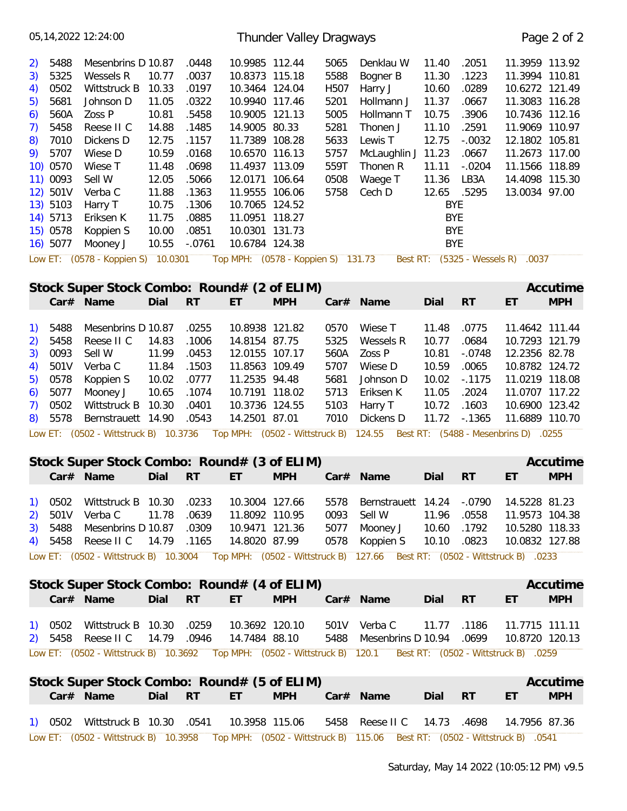|                                                                                                                                                                                                  | 05, 14, 2022 12: 24: 00                                                                                                                                                                                                             |                                                                                                                            |                                                                                                                                        |                                                                                                                                                                                                                                                                                                                 | Thunder Valley Dragways |                                                                                      |                                                                                                                                                        |                                                                                                                                                |                                                                                                                              |                                                                                                                                                                                                            | Page 2 of 2            |
|--------------------------------------------------------------------------------------------------------------------------------------------------------------------------------------------------|-------------------------------------------------------------------------------------------------------------------------------------------------------------------------------------------------------------------------------------|----------------------------------------------------------------------------------------------------------------------------|----------------------------------------------------------------------------------------------------------------------------------------|-----------------------------------------------------------------------------------------------------------------------------------------------------------------------------------------------------------------------------------------------------------------------------------------------------------------|-------------------------|--------------------------------------------------------------------------------------|--------------------------------------------------------------------------------------------------------------------------------------------------------|------------------------------------------------------------------------------------------------------------------------------------------------|------------------------------------------------------------------------------------------------------------------------------|------------------------------------------------------------------------------------------------------------------------------------------------------------------------------------------------------------|------------------------|
| 5488<br>2)<br>3)<br>5325<br>0502<br>4)<br>5681<br>5)<br>560A<br>6)<br>5458<br>7)<br>7010<br>8)<br>5707<br>9)<br>10) 0570<br>11) 0093<br>12) 501V<br>13) 5103<br>14) 5713<br>15) 0578<br>16) 5077 | Mesenbrins D 10.87<br>Wessels R<br>Wittstruck B<br>Johnson D<br>Zoss P<br>Reese II C<br>Dickens D<br>Wiese D<br>Wiese T<br>Sell W<br>Verba C<br>Harry T<br>Eriksen K<br>Koppien S<br>Mooney J<br>Low ET: (0578 - Koppien S) 10.0301 | 10.77<br>10.33<br>11.05<br>10.81<br>14.88<br>12.75<br>10.59<br>11.48<br>12.05<br>11.88<br>10.75<br>11.75<br>10.00<br>10.55 | .0448<br>.0037<br>.0197<br>.0322<br>.5458<br>.1485<br>.1157<br>.0168<br>.0698<br>.5066<br>.1363<br>.1306<br>.0885<br>.0851<br>$-.0761$ | 10.9985 112.44<br>10.8373 115.18<br>10.3464 124.04<br>10.9940 117.46<br>10.9005 121.13<br>14.9005 80.33<br>11.7389 108.28<br>10.6570 116.13<br>11.4937 113.09<br>12.0171 106.64<br>11.9555 106.06<br>10.7065 124.52<br>11.0951 118.27<br>10.0301 131.73<br>10.6784 124.38<br>Top MPH: (0578 - Koppien S) 131.73 |                         | 5065<br>5588<br>H507<br>5201<br>5005<br>5281<br>5633<br>5757<br>559T<br>0508<br>5758 | Denklau W<br>Bogner B<br>Harry J<br>Hollmann J<br>Hollmann T<br>Thonen J<br>Lewis T<br>McLaughlin J 11.23<br>Thonen R<br>Waege T<br>Cech D<br>Best RT: | 11.40<br>11.30<br>10.60<br>11.37<br>10.75<br>11.10<br>12.75<br>11.11<br>11.36<br>12.65<br><b>BYE</b><br><b>BYE</b><br><b>BYE</b><br><b>BYE</b> | .2051<br>.1223<br>.0289<br>.0667<br>.3906<br>.2591<br>$-.0032$<br>.0667<br>$-.0204$<br>LB3A<br>.5295<br>$(5325 - Wessels R)$ | 11.3959 113.92<br>11.3994 110.81<br>10.6272 121.49<br>11.3083 116.28<br>10.7436 112.16<br>11.9069 110.97<br>12.1802 105.81<br>11.2673 117.00<br>11.1566 118.89<br>14.4098 115.30<br>13.0034 97.00<br>.0037 |                        |
|                                                                                                                                                                                                  |                                                                                                                                                                                                                                     |                                                                                                                            |                                                                                                                                        |                                                                                                                                                                                                                                                                                                                 |                         |                                                                                      |                                                                                                                                                        |                                                                                                                                                |                                                                                                                              |                                                                                                                                                                                                            |                        |
|                                                                                                                                                                                                  | Stock Super Stock Combo: Round# (2 of ELIM)<br>Car# Name                                                                                                                                                                            | Dial                                                                                                                       | <b>RT</b>                                                                                                                              | ET                                                                                                                                                                                                                                                                                                              | <b>MPH</b>              |                                                                                      | Car# Name                                                                                                                                              | Dial                                                                                                                                           | RT                                                                                                                           | ET                                                                                                                                                                                                         | Accutime<br><b>MPH</b> |
| 5488<br><sup>1</sup><br>5458<br>2)<br>0093<br>3)<br>501V<br>4)<br>0578<br>5)<br>5077<br>6)<br>0502<br>7)<br>5578<br>8)                                                                           | Mesenbrins D 10.87<br>Reese II C<br>Sell W<br>Verba C<br>Koppien S<br>Mooney J<br>Wittstruck B<br>Bernstrauett 14.90                                                                                                                | 14.83<br>11.99<br>11.84<br>10.02<br>10.65<br>10.30                                                                         | .0255<br>.1006<br>.0453<br>.1503<br>.0777<br>.1074<br>.0401<br>.0543                                                                   | 10.8938 121.82<br>14.8154 87.75<br>12.0155 107.17<br>11.8563 109.49<br>11.2535 94.48<br>10.7191 118.02<br>10.3736 124.55<br>14.2501 87.01                                                                                                                                                                       |                         | 0570<br>5325<br>560A<br>5707<br>5681<br>5713<br>5103<br>7010                         | Wiese T<br>Wessels R<br>Zoss P<br>Wiese D<br>Johnson D<br>Eriksen K<br>Harry T<br>Dickens D                                                            | 11.48<br>10.77<br>10.81<br>10.59<br>10.02<br>11.05<br>10.72<br>11.72                                                                           | .0775<br>.0684<br>$-.0748$<br>.0065<br>$-0.1175$<br>.2024<br>.1603<br>$-0.1365$                                              | 11.4642 111.44<br>10.7293 121.79<br>12.2356 82.78<br>10.8782 124.72<br>11.0219 118.08<br>11.0707 117.22<br>10.6900 123.42<br>11.6889 110.70                                                                |                        |
|                                                                                                                                                                                                  | Low ET: (0502 - Wittstruck B) 10.3736                                                                                                                                                                                               |                                                                                                                            |                                                                                                                                        | Top MPH: (0502 - Wittstruck B)                                                                                                                                                                                                                                                                                  |                         |                                                                                      | 124.55                                                                                                                                                 |                                                                                                                                                |                                                                                                                              | Best RT: (5488 - Mesenbrins D) .0255                                                                                                                                                                       |                        |
|                                                                                                                                                                                                  | Stock Super Stock Combo: Round# (3 of ELIM)<br>$Car#$ Name                                                                                                                                                                          | Dial                                                                                                                       | <b>RT</b>                                                                                                                              | ET                                                                                                                                                                                                                                                                                                              | <b>MPH</b>              |                                                                                      | Car# Name                                                                                                                                              | Dial                                                                                                                                           | <b>RT</b>                                                                                                                    | ET                                                                                                                                                                                                         | Accutime<br><b>MPH</b> |
| 0502<br>1)<br>2)<br>5488<br>3)<br>5458<br>4)                                                                                                                                                     | Wittstruck B 10.30<br>501V Verba C<br>Mesenbrins D 10.87<br>Reese II C<br>Low ET: (0502 - Wittstruck B) 10.3004 Top MPH: (0502 - Wittstruck B) 127.66 Best RT: (0502 - Wittstruck B) .0233                                          | 11.78<br>14.79 .1165                                                                                                       | .0233<br>.0639<br>.0309                                                                                                                | 10.3004 127.66<br>11.8092 110.95<br>10.9471 121.36<br>14.8020 87.99                                                                                                                                                                                                                                             |                         | 5578<br>0093<br>5077<br>0578                                                         | Bernstrauett 14.24<br>Sell W<br>Mooney J<br>Koppien S                                                                                                  | 11.96<br>10.60<br>10.10                                                                                                                        | $-.0790$<br>.0558<br>.1792<br>.0823                                                                                          | 14.5228 81.23<br>11.9573 104.38<br>10.5280 118.33<br>10.0832 127.88                                                                                                                                        |                        |
|                                                                                                                                                                                                  | Stock Super Stock Combo: Round# (4 of ELIM)<br>Car# Name                                                                                                                                                                            | Dial                                                                                                                       | <b>RT</b>                                                                                                                              | ET.                                                                                                                                                                                                                                                                                                             | <b>MPH</b>              |                                                                                      | Car# Name                                                                                                                                              | Dial                                                                                                                                           | <b>RT</b>                                                                                                                    | ET                                                                                                                                                                                                         | Accutime<br><b>MPH</b> |
| 1) 0502<br>5458<br>2)                                                                                                                                                                            | Wittstruck B 10.30<br>Reese II C                                                                                                                                                                                                    | 14.79 .0946                                                                                                                | .0259                                                                                                                                  | 10.3692 120.10<br>14.7484 88.10                                                                                                                                                                                                                                                                                 |                         | 5488                                                                                 | 501V Verba C<br>Mesenbrins D 10.94                                                                                                                     | 11.77                                                                                                                                          | .1186<br>.0699                                                                                                               | 11.7715 111.11<br>10.8720 120.13                                                                                                                                                                           |                        |
|                                                                                                                                                                                                  | Low ET: (0502 - Wittstruck B) 10.3692 Top MPH: (0502 - Wittstruck B) 120.1 Best RT: (0502 - Wittstruck B) .0259                                                                                                                     |                                                                                                                            |                                                                                                                                        |                                                                                                                                                                                                                                                                                                                 |                         |                                                                                      |                                                                                                                                                        |                                                                                                                                                |                                                                                                                              |                                                                                                                                                                                                            |                        |
|                                                                                                                                                                                                  | Stock Super Stock Combo: Round# (5 of ELIM)<br>Car# Name                                                                                                                                                                            | Dial                                                                                                                       | <b>RT</b>                                                                                                                              | ET.                                                                                                                                                                                                                                                                                                             | <b>MPH</b>              |                                                                                      | $Car#$ Name                                                                                                                                            | Dial                                                                                                                                           | <b>RT</b>                                                                                                                    | ET                                                                                                                                                                                                         | Accutime<br><b>MPH</b> |
|                                                                                                                                                                                                  | 1) 0502 Wittstruck B 10.30 .0541<br>Low ET: (0502 - Wittstruck B) 10.3958 Top MPH: (0502 - Wittstruck B) 115.06 Best RT: (0502 - Wittstruck B) .0541                                                                                |                                                                                                                            |                                                                                                                                        | 10.3958 115.06                                                                                                                                                                                                                                                                                                  |                         |                                                                                      | 5458 Reese II C                                                                                                                                        | 14.73 .4698                                                                                                                                    |                                                                                                                              | 14.7956 87.36                                                                                                                                                                                              |                        |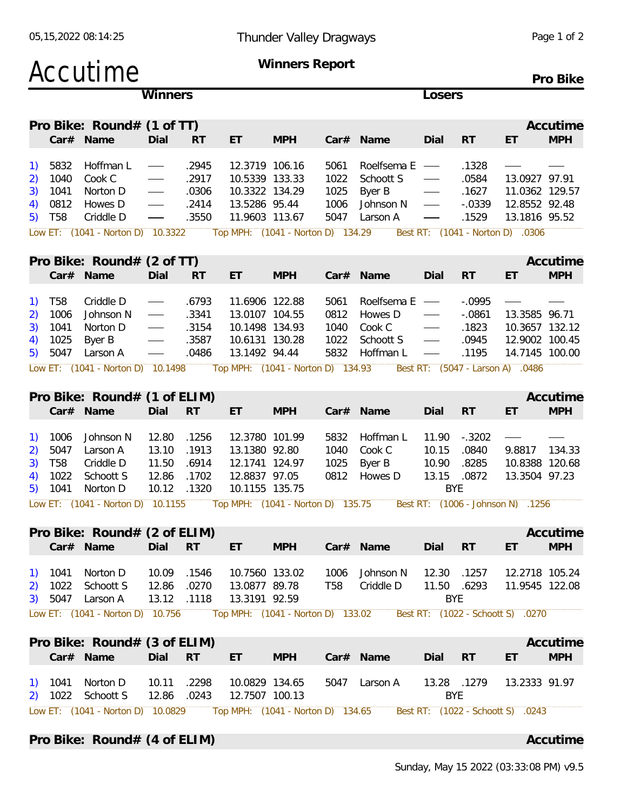| Accutime                                                                                                                                                                                                              |                                                                                                      |                                           |                                                                                       | <b>Winners Report</b>             |                                      |                                                             |                                                               |                                                  |                                                                                                         | Pro Bike               |
|-----------------------------------------------------------------------------------------------------------------------------------------------------------------------------------------------------------------------|------------------------------------------------------------------------------------------------------|-------------------------------------------|---------------------------------------------------------------------------------------|-----------------------------------|--------------------------------------|-------------------------------------------------------------|---------------------------------------------------------------|--------------------------------------------------|---------------------------------------------------------------------------------------------------------|------------------------|
|                                                                                                                                                                                                                       | Winners                                                                                              |                                           |                                                                                       |                                   |                                      |                                                             | Losers                                                        |                                                  |                                                                                                         |                        |
| Pro Bike: Round# (1 of TT)<br>Car# Name                                                                                                                                                                               | Dial                                                                                                 | <b>RT</b>                                 | ET                                                                                    | <b>MPH</b>                        |                                      | Car# Name                                                   | Dial                                                          | RT                                               | ET                                                                                                      | Accutime<br><b>MPH</b> |
| Hoffman L<br>5832<br>1)<br>1040<br>Cook C<br>2)<br>3)<br>1041<br>Norton D<br>0812<br>Howes D<br>4)<br>Criddle D<br>T <sub>58</sub><br>5)<br>Low ET: (1041 - Norton D) 10.3322                                         | $\qquad \qquad \overbrace{\qquad \qquad }^{}$<br>$\qquad \qquad \longleftarrow$<br>$\hspace{0.05cm}$ | .2945<br>.2917<br>.0306<br>.2414<br>.3550 | 12.3719 106.16<br>10.5339 133.33<br>10.3322 134.29<br>13.5286 95.44<br>11.9603 113.67 | Top MPH: (1041 - Norton D) 134.29 | 5061<br>1022<br>1025<br>1006<br>5047 | Roelfsema E<br>Schoott S<br>Byer B<br>Johnson N<br>Larson A | $\hspace{0.1cm}$<br>$\hspace{0.05cm}$                         | .1328<br>.0584<br>.1627<br>$-.0339$<br>.1529     | 13.0927 97.91<br>11.0362 129.57<br>12.8552 92.48<br>13.1816 95.52<br>Best RT: (1041 - Norton D) .0306   |                        |
| Pro Bike: Round# (2 of TT)<br>Car# Name                                                                                                                                                                               | Dial                                                                                                 | <b>RT</b>                                 | ET                                                                                    | <b>MPH</b>                        |                                      | Car# Name                                                   | Dial                                                          | RT                                               | ET                                                                                                      | Accutime<br><b>MPH</b> |
| <b>T58</b><br>Criddle D<br>$\left( \begin{matrix} 1 \end{matrix} \right)$<br>1006<br>Johnson N<br>2)<br>1041<br>3)<br>Norton D<br>1025<br>Byer B<br>4)<br>5047<br>Larson A<br>5)<br>Low ET: (1041 - Norton D) 10.1498 | $\overbrace{\hspace{15em}}$<br>$\overbrace{\hspace{27mm}}^{}$                                        | .6793<br>.3341<br>.3154<br>.3587<br>.0486 | 11.6906 122.88<br>13.0107 104.55<br>10.1498 134.93<br>10.6131 130.28<br>13.1492 94.44 | Top MPH: (1041 - Norton D) 134.93 | 5061<br>0812<br>1040<br>1022<br>5832 | Roelfsema E<br>Howes D<br>Cook C<br>Schoott S<br>Hoffman L  | $\overbrace{\hspace{27mm}}^{}$<br>$\overbrace{\hspace{15em}}$ | $-0.0995$<br>$-.0861$<br>.1823<br>.0945<br>.1195 | 13.3585 96.71<br>10.3657 132.12<br>12.9002 100.45<br>14.7145 100.00<br>Best RT: (5047 - Larson A) .0486 |                        |
| Pro Bike: Round# (1 of ELIM)<br>Car# Name                                                                                                                                                                             | Dial                                                                                                 | <b>RT</b>                                 | ET                                                                                    | <b>MPH</b>                        |                                      | Car# Name                                                   | Dial                                                          | <b>RT</b>                                        | ET                                                                                                      | Accutime<br><b>MPH</b> |
| 1006<br>Johnson N<br><sup>1</sup><br>5047<br>2)<br>Larson A<br><b>T58</b><br>3)<br>Criddle D<br>1022<br>Schoott S<br>4)<br>1041<br>Norton D<br>5)<br>Low ET: (1041 - Norton D) 10.1155                                | 12.80<br>13.10<br>11.50<br>12.86<br>10.12                                                            | .1256<br>.1913<br>.6914<br>.1702<br>.1320 | 12.3780 101.99<br>13.1380 92.80<br>12.1741 124.97<br>12.8837 97.05<br>10.1155 135.75  | Top MPH: (1041 - Norton D) 135.75 | 5832<br>1040<br>1025<br>0812         | Hoffman L<br>Cook C<br>Byer B<br>Howes D                    | 11.90<br>10.15<br>10.90<br>13.15<br><b>BYE</b>                | $-.3202$<br>.0840<br>.8285<br>.0872              | 9.8817<br>10.8388 120.68<br>13.3504 97.23<br>Best RT: (1006 - Johnson N) .1256                          | 134.33                 |
| Pro Bike: Round# (2 of ELIM)<br>Car# Name                                                                                                                                                                             | Dial                                                                                                 | <b>RT</b>                                 | ET.                                                                                   | <b>MPH</b>                        |                                      | Car# Name                                                   | Dial                                                          | <b>RT</b>                                        | ET                                                                                                      | Accutime<br><b>MPH</b> |
| Norton D<br>1) 1041<br>1022 Schoott S<br>2)<br>5047 Larson A<br>3)<br>Low ET: (1041 - Norton D) 10.756                                                                                                                | 10.09<br>12.86                                                                                       | .1546<br>.0270<br>13.12 .1118             | 10.7560 133.02<br>13.0877 89.78<br>13.3191 92.59                                      | Top MPH: (1041 - Norton D) 133.02 | 1006<br>T58                          | Johnson N<br>Criddle D                                      | 12.30<br>11.50 .6293<br><b>BYE</b>                            | .1257                                            | 12.2718 105.24<br>11.9545 122.08<br>Best RT: (1022 - Schoott S) .0270                                   |                        |
| Pro Bike: Round# (3 of ELIM)<br>Car# Name                                                                                                                                                                             | Dial                                                                                                 | <b>RT</b>                                 | ET.                                                                                   | <b>MPH</b>                        |                                      | Car# Name                                                   | Dial                                                          | RT                                               | ET                                                                                                      | Accutime<br><b>MPH</b> |
| 1) 1041 Norton D<br>2) 1022 Schoott S                                                                                                                                                                                 | 10.11<br>12.86                                                                                       | .2298<br>.0243                            | 10.0829 134.65<br>12.7507 100.13                                                      |                                   |                                      | 5047 Larson A                                               | 13.28 .1279<br><b>BYE</b>                                     |                                                  | 13.2333 91.97                                                                                           |                        |
| Low ET: (1041 - Norton D) 10.0829<br>Pro Bike: Round# (4 of ELIM)                                                                                                                                                     |                                                                                                      |                                           |                                                                                       | Top MPH: (1041 - Norton D) 134.65 |                                      |                                                             |                                                               |                                                  | Best RT: (1022 - Schoott S) .0243                                                                       | Accutime               |

Sunday, May 15 2022 (03:33:08 PM) v9.5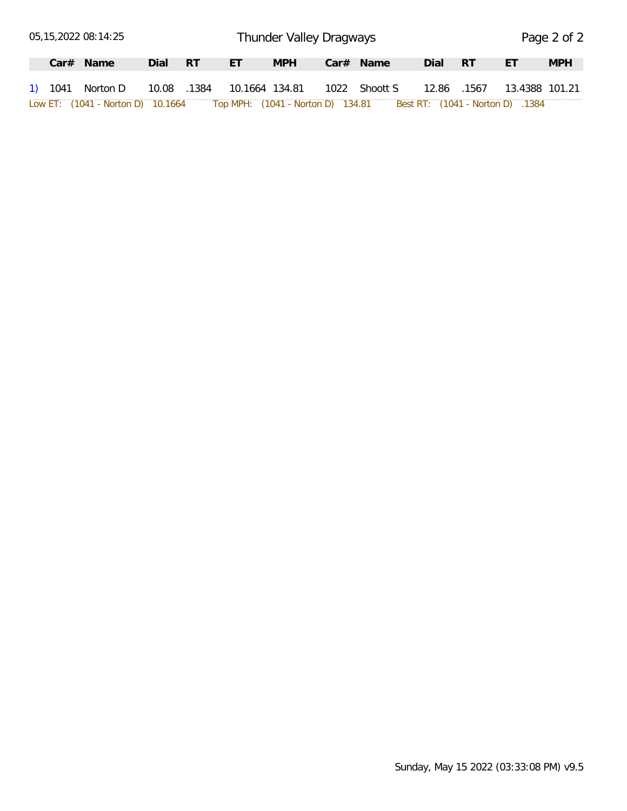|  | 05,15,2022 08:14:25               |             |      |                                   | Thunder Valley Dragways |               |       |       |                                  | Page 2 of 2 |
|--|-----------------------------------|-------------|------|-----------------------------------|-------------------------|---------------|-------|-------|----------------------------------|-------------|
|  | $Car#$ Name                       | Dial        | - RT | ÆT.                               | <b>MPH</b>              | $Car#$ Name   | Dial  | - RT  | ЕT                               | <b>MPH</b>  |
|  | 1) 1041 Norton D                  | 10.08 .1384 |      | 10.1664 134.81                    |                         | 1022 Shoott S | 12.86 | .1567 | 13.4388 101.21                   |             |
|  | Low ET: (1041 - Norton D) 10.1664 |             |      | Top MPH: (1041 - Norton D) 134.81 |                         |               |       |       | Best RT: (1041 - Norton D) .1384 |             |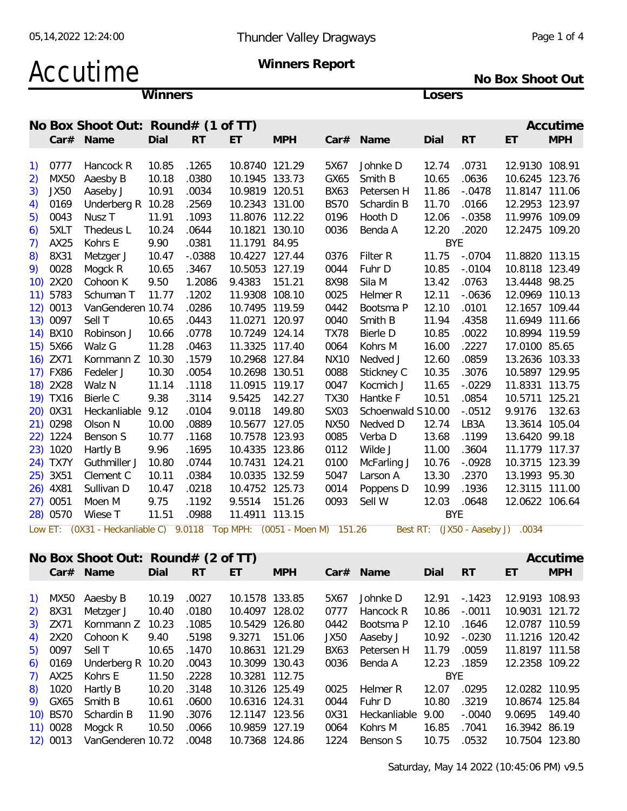### Accutime Winners

Winners Report

No Box Shoot Out

Losers

|    |             | No Box Shoot Out: Round# (1 of TT) |       |           |                |                 |             |                   |            |                     |                | Accutime   |
|----|-------------|------------------------------------|-------|-----------|----------------|-----------------|-------------|-------------------|------------|---------------------|----------------|------------|
|    |             | Car# Name                          | Dial  | <b>RT</b> | ET             | <b>MPH</b>      | Car#        | Name              | Dial       | <b>RT</b>           | ET             | <b>MPH</b> |
|    |             |                                    |       |           |                |                 |             |                   |            |                     |                |            |
| 1) | 0777        | Hancock R                          | 10.85 | .1265     | 10.8740 121.29 |                 | 5X67        | Johnke D          | 12.74      | .0731               | 12.9130 108.91 |            |
| 2) | MX50        | Aaesby B                           | 10.18 | .0380     | 10.1945 133.73 |                 | GX65        | Smith B           | 10.65      | .0636               | 10.6245 123.76 |            |
| 3) | <b>JX50</b> | Aaseby J                           | 10.91 | .0034     | 10.9819 120.51 |                 | <b>BX63</b> | Petersen H        | 11.86      | $-.0478$            | 11.8147 111.06 |            |
| 4) | 0169        | Underberg R                        | 10.28 | .2569     | 10.2343 131.00 |                 | <b>BS70</b> | Schardin B        | 11.70      | .0166               | 12.2953 123.97 |            |
| 5) | 0043        | Nusz <sub>T</sub>                  | 11.91 | .1093     | 11.8076 112.22 |                 | 0196        | Hooth D           | 12.06      | $-.0358$            | 11.9976 109.09 |            |
| 6) | 5XLT        | Thedeus L                          | 10.24 | .0644     | 10.1821 130.10 |                 | 0036        | Benda A           | 12.20      | .2020               | 12.2475 109.20 |            |
| 7) | AX25        | Kohrs E                            | 9.90  | .0381     | 11.1791 84.95  |                 |             |                   | <b>BYE</b> |                     |                |            |
| 8) | 8X31        | Metzger J                          | 10.47 | $-.0388$  | 10.4227 127.44 |                 | 0376        | Filter R          | 11.75      | $-.0704$            | 11.8820 113.15 |            |
| 9) | 0028        | Mogck R                            | 10.65 | .3467     | 10.5053 127.19 |                 | 0044        | Fuhr D            | 10.85      | $-.0104$            | 10.8118 123.49 |            |
|    | 10) 2X20    | Cohoon K                           | 9.50  | 1.2086    | 9.4383         | 151.21          | 8X98        | Sila M            | 13.42      | .0763               | 13.4448 98.25  |            |
|    | 11) 5783    | Schuman T                          | 11.77 | .1202     | 11.9308 108.10 |                 | 0025        | Helmer R          | 12.11      | $-0636$             | 12.0969 110.13 |            |
|    | 12) 0013    | VanGenderen 10.74                  |       | .0286     | 10.7495 119.59 |                 | 0442        | Bootsma P         | 12.10      | .0101               | 12.1657 109.44 |            |
|    | 13) 0097    | Sell T                             | 10.65 | .0443     | 11.0271 120.97 |                 | 0040        | Smith B           | 11.94      | .4358               | 11.6949 111.66 |            |
|    | 14) BX10    | Robinson J                         | 10.66 | .0778     | 10.7249 124.14 |                 | <b>TX78</b> | Bierle D          | 10.85      | .0022               | 10.8994 119.59 |            |
|    | 15) 5X66    | Walz G                             | 11.28 | .0463     | 11.3325 117.40 |                 | 0064        | Kohrs M           | 16.00      | .2227               | 17.0100 85.65  |            |
|    | 16) ZX71    | Kornmann Z                         | 10.30 | .1579     | 10.2968 127.84 |                 | <b>NX10</b> | Nedved J          | 12.60      | .0859               | 13.2636 103.33 |            |
|    | 17) FX86    | Fedeler J                          | 10.30 | .0054     | 10.2698 130.51 |                 | 0088        | Stickney C        | 10.35      | .3076               | 10.5897 129.95 |            |
|    | 18) 2X28    | Walz N                             | 11.14 | .1118     | 11.0915 119.17 |                 | 0047        | Kocmich J         | 11.65      | $-.0229$            | 11.8331 113.75 |            |
|    | 19) TX16    | Bierle C                           | 9.38  | .3114     | 9.5425         | 142.27          | <b>TX30</b> | Hantke F          | 10.51      | .0854               | 10.5711 125.21 |            |
|    | 20) 0X31    | Heckanliable                       | 9.12  | .0104     | 9.0118         | 149.80          | <b>SX03</b> | Schoenwald S10.00 |            | $-.0512$            | 9.9176         | 132.63     |
|    | 21) 0298    | Olson N                            | 10.00 | .0889     | 10.5677 127.05 |                 | <b>NX50</b> | Nedved D          | 12.74      | LB3A                | 13.3614 105.04 |            |
|    | 22) 1224    | Benson S                           | 10.77 | .1168     | 10.7578 123.93 |                 | 0085        | Verba D           | 13.68      | .1199               | 13.6420 99.18  |            |
|    | 23) 1020    | Hartly B                           | 9.96  | .1695     | 10.4335 123.86 |                 | 0112        | Wilde J           | 11.00      | .3604               | 11.1779 117.37 |            |
|    | 24) TX7Y    | Guthmiller J                       | 10.80 | .0744     | 10.7431 124.21 |                 | 0100        | McFarling J       | 10.76      | $-.0928$            | 10.3715 123.39 |            |
|    | 25) 3X51    | Clement C                          | 10.11 | .0384     | 10.0335 132.59 |                 | 5047        | Larson A          | 13.30      | .2370               | 13.1993 95.30  |            |
|    | 26) 4X81    | Sullivan D                         | 10.47 | .0218     | 10.4752 125.73 |                 | 0014        | Poppens D         | 10.99      | .1936               | 12.3115 111.00 |            |
|    | 27) 0051    | Moen M                             | 9.75  | .1192     | 9.5514         | 151.26          | 0093        | Sell W            | 12.03      | .0648               | 12.0622 106.64 |            |
|    | 28) 0570    | Wiese T                            | 11.51 | .0988     | 11.4911 113.15 |                 |             |                   | <b>BYE</b> |                     |                |            |
|    | Low ET:     | (0X31 - Heckanliable C)            |       | 9.0118    | Top MPH:       | (0051 - Moen M) | 151.26      | Best RT:          |            | $(JX50 - Aaseby J)$ | 0034           |            |

|                                                |          | No Box Shoot Out: $Round# (2 of TT)$ |       |           |                |            |             |              |       |           |                | Accutime   |
|------------------------------------------------|----------|--------------------------------------|-------|-----------|----------------|------------|-------------|--------------|-------|-----------|----------------|------------|
|                                                | Car#     | Name                                 | Dial  | <b>RT</b> | ET             | <b>MPH</b> | Car#        | Name         | Dial  | <b>RT</b> | ET             | <b>MPH</b> |
|                                                |          |                                      |       |           |                |            |             |              |       |           |                |            |
| $\left( \begin{matrix} 1 \end{matrix} \right)$ | MX50     | Aaesby B                             | 10.19 | .0027     | 10.1578 133.85 |            | 5X67        | Johnke D     | 12.91 | $-1423$   | 12.9193 108.93 |            |
| (2)                                            | 8X31     | Metzger J                            | 10.40 | .0180     | 10.4097        | 128.02     | 0777        | Hancock R    | 10.86 | $-.0011$  | 10.9031 121.72 |            |
| 3)                                             | ZX71     | Kornmann Z                           | 10.23 | .1085     | 10.5429 126.80 |            | 0442        | Bootsma P    | 12.10 | .1646     | 12.0787 110.59 |            |
| 4)                                             | 2X20     | Cohoon K                             | 9.40  | .5198     | 9.3271         | 151.06     | <b>JX50</b> | Aaseby J     | 10.92 | $-.0230$  | 11.1216 120.42 |            |
| 5)                                             | 0097     | Sell T                               | 10.65 | .1470     | 10.8631        | 121.29     | BX63        | Petersen H   | 11.79 | .0059     | 11.8197 111.58 |            |
| 6)                                             | 0169     | Underberg R                          | 10.20 | .0043     | 10.3099 130.43 |            | 0036        | Benda A      | 12.23 | .1859     | 12.2358 109.22 |            |
| 7)                                             | AX25     | Kohrs E                              | 11.50 | .2228     | 10.3281 112.75 |            |             |              | BYE   |           |                |            |
| 8)                                             | 1020     | Hartly B                             | 10.20 | .3148     | 10.3126 125.49 |            | 0025        | Helmer R     | 12.07 | .0295     | 12.0282 110.95 |            |
| 9)                                             | GX65     | Smith B                              | 10.61 | .0600     | 10.6316 124.31 |            | 0044        | Fuhr D       | 10.80 | .3219     | 10.8674 125.84 |            |
|                                                | 10) BS70 | Schardin B                           | 11.90 | .3076     | 12.1147        | 123.56     | 0X31        | Heckanliable | 9.00  | $-.0040$  | 9.0695         | 149.40     |
|                                                | 11) 0028 | Mogck R                              | 10.50 | .0066     | 10.9859        | 127.19     | 0064        | Kohrs M      | 16.85 | .7041     | 16.3942 86.19  |            |
|                                                | 12) 0013 | VanGenderen 10.72                    |       | .0048     | 10.7368 124.86 |            | 1224        | Benson S     | 10.75 | .0532     | 10.7504 123.80 |            |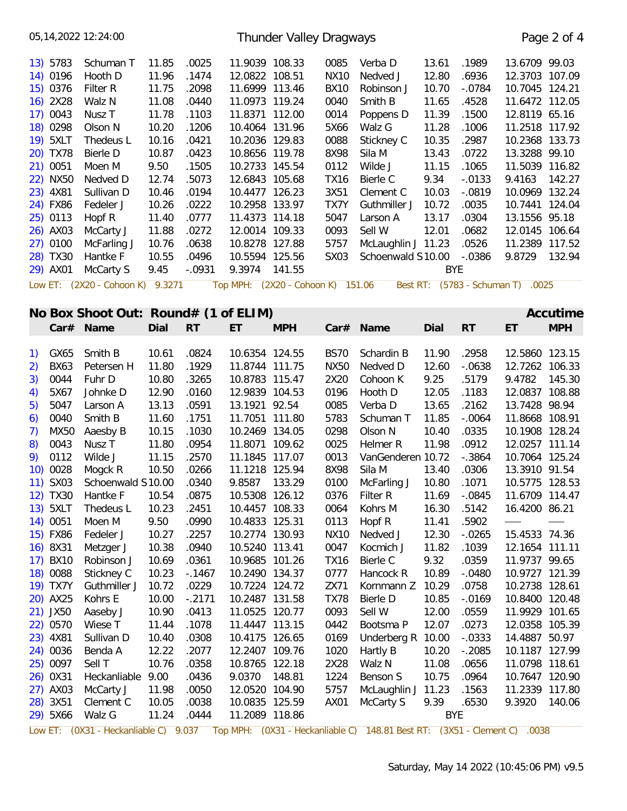|                                                        | 05, 14, 2022 12: 24: 00              |       |           |                                   | Thunder Valley Dragways |             |                          |            |           |                                   | Page 2 of 4 |
|--------------------------------------------------------|--------------------------------------|-------|-----------|-----------------------------------|-------------------------|-------------|--------------------------|------------|-----------|-----------------------------------|-------------|
| 13) 5783                                               | Schuman T                            | 11.85 | .0025     | 11.9039 108.33                    |                         | 0085        | Verba D                  | 13.61      | .1989     | 13.6709 99.03                     |             |
| 14) 0196                                               | Hooth D                              | 11.96 | .1474     | 12.0822 108.51                    |                         | <b>NX10</b> | Nedved J                 | 12.80      | .6936     | 12.3703 107.09                    |             |
| 15) 0376                                               | Filter R                             | 11.75 | .2098     | 11.6999 113.46                    |                         | <b>BX10</b> | Robinson J               | 10.70      | $-.0784$  | 10.7045 124.21                    |             |
| 16) 2X28                                               | Walz N                               | 11.08 | .0440     | 11.0973 119.24                    |                         | 0040        | Smith B                  | 11.65      | .4528     | 11.6472 112.05                    |             |
| 17) 0043                                               | Nusz T                               | 11.78 | .1103     | 11.8371 112.00                    |                         | 0014        | Poppens D                | 11.39      | .1500     | 12.8119 65.16                     |             |
| 18) 0298                                               | Olson N                              | 10.20 | .1206     | 10.4064 131.96                    |                         | 5X66        | Walz G                   | 11.28      | .1006     | 11.2518 117.92                    |             |
| 19) 5XLT                                               | Thedeus L                            | 10.16 | .0421     | 10.2036 129.83                    |                         | 0088        | Stickney C               | 10.35      | .2987     | 10.2368 133.73                    |             |
| 20) TX78                                               | Bierle D                             | 10.87 | .0423     | 10.8656 119.78                    |                         | 8X98        | Sila M                   | 13.43      | .0722     | 13.3288 99.10                     |             |
| 21) 0051                                               | Moen M                               | 9.50  | .1505     | 10.2733 145.54                    |                         | 0112        | Wilde J                  | 11.15      | .1065     | 11.5039 116.82                    |             |
| 22) NX50                                               | Nedved D                             | 12.74 | .5073     | 12.6843 105.68                    |                         | <b>TX16</b> | Bierle C                 | 9.34       | $-.0133$  | 9.4163                            | 142.27      |
| 23) 4X81                                               | Sullivan D                           | 10.46 | .0194     | 10.4477 126.23                    |                         | 3X51        | Clement C                | 10.03      | $-.0819$  | 10.0969 132.24                    |             |
| 24) FX86                                               | Fedeler J                            | 10.26 | .0222     | 10.2958 133.97                    |                         | TX7Y        | Guthmiller J             | 10.72      | .0035     | 10.7441 124.04                    |             |
| 25) 0113                                               | Hopf R                               | 11.40 | .0777     | 11.4373 114.18                    |                         | 5047        | Larson A                 | 13.17      | .0304     | 13.1556 95.18                     |             |
| 26) AX03                                               | McCarty J                            | 11.88 | .0272     | 12.0014 109.33                    |                         | 0093        | Sell W                   | 12.01      | .0682     | 12.0145 106.64                    |             |
| 27) 0100                                               |                                      |       |           |                                   |                         |             |                          |            |           | 11.2389 117.52                    |             |
|                                                        | McFarling J                          | 10.76 | .0638     | 10.8278 127.88                    |                         | 5757        | McLaughlin J 11.23       |            | .0526     |                                   |             |
| 28) TX30                                               | Hantke F                             | 10.55 | .0496     | 10.5594 125.56                    |                         | SX03        | Schoenwald S10.00 -.0386 |            |           | 9.8729 132.94                     |             |
| 29) AX01                                               | McCarty S                            | 9.45  | $-.0931$  | 9.3974                            | 141.55                  |             |                          | <b>BYE</b> |           |                                   |             |
|                                                        | Low ET: (2X20 - Cohoon K) 9.3271     |       |           | Top MPH: (2X20 - Cohoon K) 151.06 |                         |             |                          |            |           | Best RT: (5783 - Schuman T) .0025 |             |
|                                                        | No Box Shoot Out: Round# (1 of ELIM) |       |           |                                   |                         |             |                          |            |           |                                   | Accutime    |
|                                                        | Car# Name                            | Dial  | <b>RT</b> | ET                                | <b>MPH</b>              |             | Car# Name                | Dial       | <b>RT</b> | ET                                | <b>MPH</b>  |
|                                                        |                                      |       |           |                                   |                         |             |                          |            |           |                                   |             |
| GX65<br>$\left( \begin{matrix} 1 \end{matrix} \right)$ | Smith B                              | 10.61 | .0824     | 10.6354 124.55                    |                         | <b>BS70</b> | Schardin B               | 11.90      | .2958     | 12.5860 123.15                    |             |
| <b>BX63</b><br>2)                                      | Petersen H                           | 11.80 | .1929     | 11.8744 111.75                    |                         | <b>NX50</b> | Nedved D                 | 12.60      | $-0638$   | 12.7262 106.33                    |             |
| 0044<br>3)                                             | Fuhr D                               | 10.80 | .3265     | 10.8783 115.47                    |                         | 2X20        | Cohoon K                 | 9.25       | .5179     | 9.4782                            | 145.30      |
| 5X67<br>4)                                             | Johnke D                             | 12.90 | .0160     | 12.9839 104.53                    |                         | 0196        | Hooth D                  | 12.05      | .1183     | 12.0837 108.88                    |             |
| 5047<br>5)                                             | Larson A                             | 13.13 | .0591     | 13.1921 92.54                     |                         | 0085        | Verba D                  | 13.65      | .2162     | 13.7428 98.94                     |             |
| 0040<br>6)                                             | Smith B                              | 11.60 | .1751     | 11.7051 111.80                    |                         | 5783        | Schuman T                | 11.85      | $-.0064$  | 11.8668 108.91                    |             |
|                                                        |                                      |       |           | 10.2469 134.05                    |                         |             |                          |            |           | 10.1908 128.24                    |             |
| 7)<br>MX50                                             | Aaesby B                             | 10.15 | .1030     |                                   |                         | 0298        | Olson N                  | 10.40      | .0335     |                                   |             |
| 0043<br>8)                                             | Nusz T                               | 11.80 | .0954     | 11.8071 109.62                    |                         | 0025        | Helmer R                 | 11.98      | .0912     | 12.0257 111.14                    |             |
| 9) 0112                                                | Wilde J                              | 11.15 | .2570     | 11.1845 117.07                    |                         | 0013        | VanGenderen 10.72        |            | $-.3864$  | 10.7064 125.24                    |             |
| 10) 0028                                               | Mogck R                              | 10.50 | .0266     | 11.1218 125.94                    |                         | 8X98        | Sila M                   | 13.40      | .0306     | 13.3910 91.54                     |             |
| 11) SX03                                               | Schoenwald S10.00                    |       | .0340     | 9.8587                            | 133.29                  | 0100        | McFarling J 10.80        |            | .1071     | 10.5775 128.53                    |             |
| 12) TX30                                               | Hantke F                             | 10.54 | .0875     | 10.5308 126.12                    |                         | 0376        | Filter R                 | 11.69      | $-.0845$  | 11.6709 114.47                    |             |
| 13) 5XLT                                               | Thedeus L                            | 10.23 | .2451     | 10.4457 108.33                    |                         | 0064        | Kohrs M                  | 16.30      | .5142     | 16.4200 86.21                     |             |
| 14) 0051                                               | Moen M                               | 9.50  | .0990     | 10.4833 125.31                    |                         | 0113        | Hopf R                   | 11.41      | .5902     |                                   |             |
| 15) FX86                                               | Fedeler J                            | 10.27 | .2257     | 10.2774 130.93                    |                         | NX10        | Nedved J                 | 12.30      | $-0.0265$ | 15.4533 74.36                     |             |
| 16) 8X31                                               | Metzger J                            | 10.38 | .0940     | 10.5240 113.41                    |                         | 0047        | Kocmich J                | 11.82      | .1039     | 12.1654 111.11                    |             |
| 17) BX10                                               | Robinson J                           | 10.69 | .0361     | 10.9685 101.26                    |                         | <b>TX16</b> | Bierle C                 | 9.32       | .0359     | 11.9737 99.65                     |             |
| 18) 0088                                               | Stickney C                           | 10.23 | $-0.1467$ | 10.2490 134.37                    |                         | 0777        | Hancock R                | 10.89      | $-.0480$  | 10.9727 121.39                    |             |
| 19) TX7Y                                               | Guthmiller J                         | 10.72 | .0229     | 10.7224 124.72                    |                         | ZX71        | Kornmann Z 10.29         |            | .0758     | 10.2738 128.61                    |             |
| 20) AX25                                               | Kohrs E                              | 10.00 | $-.2171$  | 10.2487 131.58                    |                         | <b>TX78</b> | Bierle D                 | 10.85      | $-.0169$  | 10.8400 120.48                    |             |
| 21) JX50                                               | Aaseby J                             | 10.90 | .0413     | 11.0525 120.77                    |                         | 0093        | Sell W                   | 12.00      | .0559     | 11.9929 101.65                    |             |
| 22) 0570                                               | Wiese T                              | 11.44 | .1078     | 11.4447 113.15                    |                         | 0442        | Bootsma P                | 12.07      | .0273     | 12.0358 105.39                    |             |
| 23) 4X81                                               | Sullivan D                           | 10.40 | .0308     | 10.4175 126.65                    |                         | 0169        | Underberg R 10.00        |            | $-0.0333$ | 14.4887 50.97                     |             |
| 24) 0036                                               | Benda A                              | 12.22 | .2077     | 12.2407 109.76                    |                         | 1020        | Hartly B                 | 10.20      | $-0.2085$ | 10.1187 127.99                    |             |
| 25) 0097                                               | Sell T                               | 10.76 | .0358     | 10.8765 122.18                    |                         | 2X28        | Walz N                   | 11.08      | .0656     | 11.0798 118.61                    |             |
|                                                        |                                      |       |           |                                   |                         |             |                          |            |           |                                   |             |
| 26) 0X31                                               | Heckanliable 9.00                    |       | .0436     | 9.0370 148.81                     |                         | 1224        | Benson S                 | 10.75      | .0964     | 10.7647 120.90                    |             |
| 27) AX03                                               | McCarty J                            | 11.98 | .0050     | 12.0520 104.90                    |                         | 5757        | McLaughlin J 11.23       |            | .1563     | 11.2339 117.80                    |             |
| 28) 3X51                                               | Clement C                            | 10.05 | .0038     | 10.0835 125.59                    |                         | AX01        | McCarty S                | 9.39       | .6530     | 9.3920                            | 140.06      |
| 29) 5X66                                               | Walz G                               | 11.24 | .0444     | 11.2089 118.86                    |                         |             |                          | BYE        |           |                                   |             |

Low ET: (0X31 - Heckanliable C) 9.037 Top MPH: (0X31 - Heckanliable C) 148.81 Best RT: (3X51 - Clement C) .0038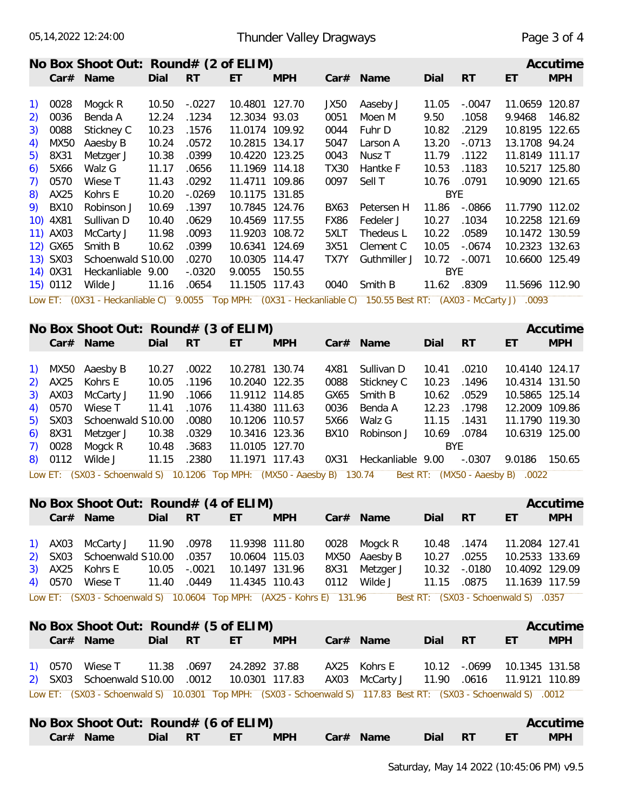Car# Name

Dial RT

#### Thunder Valley Dragways

|                                                |             | No Box Shoot Out: $Round# (2 of ELIM)$ |       |           |                |            |             |                                                                     |            |           |                | Accutime   |
|------------------------------------------------|-------------|----------------------------------------|-------|-----------|----------------|------------|-------------|---------------------------------------------------------------------|------------|-----------|----------------|------------|
|                                                |             | $Car#$ Name                            | Dial  | <b>RT</b> | ET             | <b>MPH</b> |             | $Car#$ Name                                                         | Dial       | <b>RT</b> | ET             | <b>MPH</b> |
|                                                |             |                                        |       |           |                |            |             |                                                                     |            |           |                |            |
| $\left( \begin{matrix} 1 \end{matrix} \right)$ | 0028        | Mogck R                                | 10.50 | $-0.0227$ | 10.4801        | 127.70     | JX50        | Aaseby J                                                            | 11.05      | $-.0047$  | 11.0659        | 120.87     |
| 2)                                             | 0036        | Benda A                                | 12.24 | .1234     | 12.3034 93.03  |            | 0051        | Moen M                                                              | 9.50       | .1058     | 9.9468         | 146.82     |
| 3)                                             | 0088        | Stickney C                             | 10.23 | .1576     | 11.0174 109.92 |            | 0044        | Fuhr D                                                              | 10.82      | .2129     | 10.8195        | 122.65     |
| 4)                                             | MX50        | Aaesby B                               | 10.24 | .0572     | 10.2815 134.17 |            | 5047        | Larson A                                                            | 13.20      | $-.0713$  | 13.1708        | 94.24      |
| 5)                                             | 8X31        | Metzger J                              | 10.38 | .0399     | 10.4220 123.25 |            | 0043        | Nusz T                                                              | 11.79      | .1122     | 11.8149        | 111.17     |
| 6)                                             | 5X66        | Walz G                                 | 11.17 | .0656     | 11.1969 114.18 |            | <b>TX30</b> | Hantke F                                                            | 10.53      | .1183     | 10.5217 125.80 |            |
| 7)                                             | 0570        | Wiese T                                | 11.43 | .0292     | 11.4711 109.86 |            | 0097        | Sell T                                                              | 10.76      | .0791     | 10.9090        | 121.65     |
| 8)                                             | AX25        | Kohrs E                                | 10.20 | $-.0269$  | 10.1175 131.85 |            |             |                                                                     | <b>BYE</b> |           |                |            |
| 9)                                             | <b>BX10</b> | Robinson J                             | 10.69 | .1397     | 10.7845 124.76 |            | BX63        | Petersen H                                                          | 11.86      | $-.0866$  | 11.7790 112.02 |            |
|                                                | 10) 4X81    | Sullivan D                             | 10.40 | .0629     | 10.4569 117.55 |            | <b>FX86</b> | Fedeler J                                                           | 10.27      | .1034     | 10.2258 121.69 |            |
|                                                | 11) AX03    | McCarty J                              | 11.98 | .0093     | 11.9203        | 108.72     | 5XLT        | Thedeus L                                                           | 10.22      | .0589     | 10.1472 130.59 |            |
|                                                | 12) GX65    | Smith B                                | 10.62 | .0399     | 10.6341 124.69 |            | 3X51        | Clement C                                                           | 10.05      | $-.0674$  | 10.2323 132.63 |            |
|                                                | 13) SX03    | Schoenwald S10.00                      |       | .0270     | 10.0305        | 114.47     | TX7Y        | Guthmiller J                                                        | 10.72      | $-.0071$  | 10.6600 125.49 |            |
|                                                | 14) 0X31    | Heckanliable                           | 9.00  | $-.0320$  | 9.0055         | 150.55     |             |                                                                     | <b>BYE</b> |           |                |            |
|                                                | 15) 0112    | Wilde J                                | 11.16 | .0654     | 11.1505 117.43 |            | 0040        | Smith B                                                             | 11.62      | .8309     | 11.5696 112.90 |            |
|                                                |             | Low ET: (0X31 - Heckanliable C)        |       | 9.0055    |                |            |             | Top MPH: (0X31 - Heckanliable C) 150.55 Best RT: (AX03 - McCarty J) |            |           | .0093          |            |

| No Box Shoot Out: $Round#$ (3 of ELIM)<br>Accutime |           |                         |       |         |                      |                     |             |                   |       |                     |                |            |
|----------------------------------------------------|-----------|-------------------------|-------|---------|----------------------|---------------------|-------------|-------------------|-------|---------------------|----------------|------------|
|                                                    | Car#      | Name                    | Dial  | RT      | ET                   | <b>MPH</b>          | Car#        | Name              | Dial  | RT                  | ET             | <b>MPH</b> |
|                                                    |           |                         |       |         |                      |                     |             |                   |       |                     |                |            |
| $\left( \begin{array}{c} 1 \end{array} \right)$    | MX50      | Aaesby B                | 10.27 | .0022   | 10.2781              | 130.74              | 4X81        | Sullivan D        | 10.41 | .0210               | 10.4140 124.17 |            |
| 2)                                                 | AX25      | Kohrs E                 | 10.05 | .1196   | 10.2040 122.35       |                     | 0088        | Stickney C        | 10.23 | .1496               | 10.4314 131.50 |            |
|                                                    | 3) AX03   | McCarty J               | 11.90 | .1066   | 11.9112 114.85       |                     | GX65        | Smith B           | 10.62 | .0529               | 10.5865 125.14 |            |
|                                                    | 4) 0570   | Wiese T                 | 11.41 | .1076   | 11.4380 111.63       |                     | 0036        | Benda A           | 12.23 | .1798               | 12,2009 109.86 |            |
| 5)                                                 | SX03      | Schoenwald S10.00       |       | .0080   | 10.1206 110.57       |                     | 5X66        | Walz G            | 11.15 | .1431               | 11.1790 119.30 |            |
|                                                    | $6)$ 8X31 | Metzger J               | 10.38 | .0329   | 10.3416 123.36       |                     | <b>BX10</b> | Robinson J        | 10.69 | .0784               | 10.6319 125.00 |            |
|                                                    | 7) 0028   | Mogck R                 | 10.48 | .3683   | 11.0105 127.70       |                     |             |                   | BYE   |                     |                |            |
| 8)                                                 | 0112      | Wilde J                 | 11.15 | .2380   | 11.1971 117.43       |                     | 0X31        | Heckanliable 9.00 |       | $-.0307$            | 9.0186         | 150.65     |
|                                                    | LOW ET:   | $(SX03 - Schernwald S)$ |       | 10,1206 | Ton MPH <sup>.</sup> | $(MX50 - Aaeshv B)$ |             | 130 74<br>Rest RT |       | $(MX50 - Aaeshv B)$ | 0022           |            |

| Low ET: (SX03 - Schoenwald S) 10.1206 Top MPH: (MX50 - Aaesby B) 130.74 Best RT: (MX50 - Aaesby B) .0022 |  |  |  |  |  |  |  |  |  |
|----------------------------------------------------------------------------------------------------------|--|--|--|--|--|--|--|--|--|
|----------------------------------------------------------------------------------------------------------|--|--|--|--|--|--|--|--|--|

|                                                                                                              | No Box Shoot Out: Round# (4 of ELIM)           |         |       |                |            |      |               |         |          |                | Accutime   |  |  |
|--------------------------------------------------------------------------------------------------------------|------------------------------------------------|---------|-------|----------------|------------|------|---------------|---------|----------|----------------|------------|--|--|
|                                                                                                              | Car# Name                                      | Dial RT |       | ET.            | <b>MPH</b> |      | $Car#$ Name   | Dial RT |          | ET.            | <b>MPH</b> |  |  |
|                                                                                                              |                                                |         |       |                |            |      |               |         |          |                |            |  |  |
|                                                                                                              | 1) AX03 McCarty J 11.90 .0978                  |         |       | 11.9398 111.80 |            |      | 0028 Mogck R  | 10.48   | .1474    | 11.2084 127.41 |            |  |  |
|                                                                                                              | 2) SX03 Schoenwald S10.00 .0357 10.0604 115.03 |         |       |                |            |      | MX50 Aaesby B | 10.27   | .0255    | 10.2533 133.69 |            |  |  |
|                                                                                                              | 3) AX25 Kohrs E 10.05 -.0021                   |         |       | 10.1497 131.96 |            | 8X31 | Metzger J     | 10.32   | $-.0180$ | 10.4092 129.09 |            |  |  |
|                                                                                                              | 4) 0570 Wiese T 11.40                          |         | .0449 | 11.4345 110.43 |            | 0112 | Wilde J       | 11.15   | .0875    | 11.1639 117.59 |            |  |  |
| Low ET: (SX03 - Schoenwald S) 10.0604 Top MPH: (AX25 - Kohrs E) 131.96 Best RT: (SX03 - Schoenwald S) 0.0357 |                                                |         |       |                |            |      |               |         |          |                |            |  |  |

|  | No Box Shoot Out: Round# (5 of ELIM)                                                                             |            |            |                                                                                       |         |     | Accutime   |
|--|------------------------------------------------------------------------------------------------------------------|------------|------------|---------------------------------------------------------------------------------------|---------|-----|------------|
|  | $Car#$ Name                                                                                                      | Dial RT ET | <b>MPH</b> | $Car#$ Name                                                                           | Dial RT | ET. | <b>MPH</b> |
|  | 1) 0570 Wiese T  11.38  .0697  24.2892  37.88<br>2) SX03 Schoenwald S10.00 .0012 10.0301 117.83                  |            |            | AX25 Kohrs E 10.12 - 0699 10.1345 131.58<br>AX03 McCarty J 11.90 .0616 11.9121 110.89 |         |     |            |
|  | Low ET: (SX03 - Schoenwald S) 10.0301 Top MPH: (SX03 - Schoenwald S) 117.83 Best RT: (SX03 - Schoenwald S) .0012 |            |            |                                                                                       |         |     |            |
|  | No Box Shoot Out: Round# (6 of ELIM)                                                                             |            |            |                                                                                       |         |     | Accutime   |

Car# Name

**MPH** 

 $\mathsf{E}\mathsf{T}$ 

 $\mathsf{RT}$ 

ET and

**MPH** 

Dial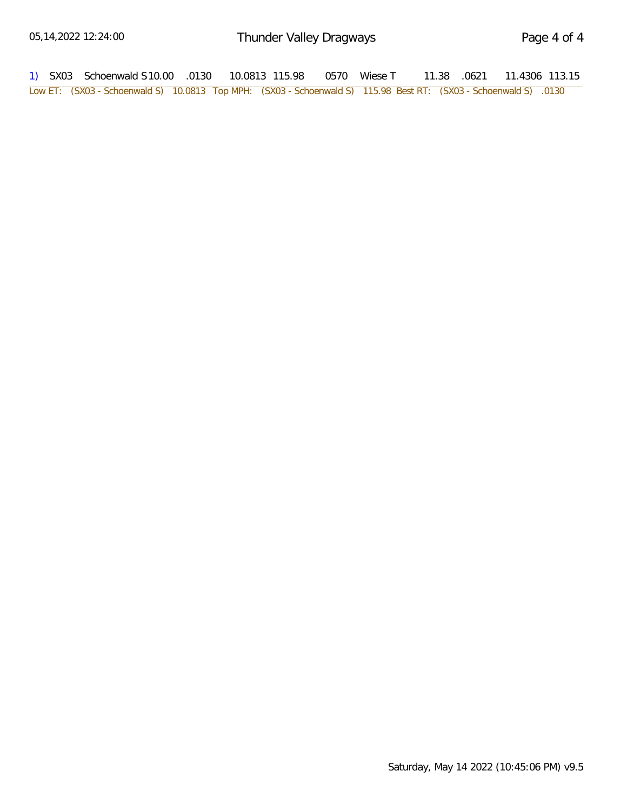| 1) SX03 Schoenwald S10.00 .0130  10.0813  115.98  0570  Wiese T                                                 |  |  | 11.38 .0621 11.4306 113.15 |  |  |
|-----------------------------------------------------------------------------------------------------------------|--|--|----------------------------|--|--|
| Low ET: (SX03 - Schoenwald S) 10.0813 Top MPH: (SX03 - Schoenwald S) 115.98 Best RT: (SX03 - Schoenwald S) 0130 |  |  |                            |  |  |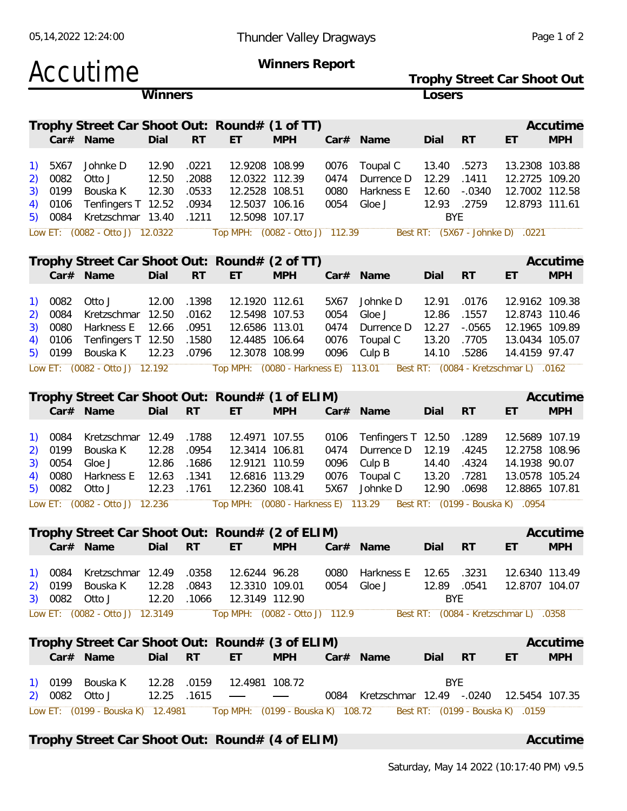|                  |                 | Accutime                                        |                |                |                                     | Winners Report           |              |                                                                        |                |                   | Trophy Street Car Shoot Out           |            |
|------------------|-----------------|-------------------------------------------------|----------------|----------------|-------------------------------------|--------------------------|--------------|------------------------------------------------------------------------|----------------|-------------------|---------------------------------------|------------|
|                  |                 |                                                 | Winners        |                |                                     |                          |              |                                                                        | Losers         |                   |                                       |            |
|                  |                 | Trophy Street Car Shoot Out: Round# (1 of TT)   |                |                |                                     |                          |              |                                                                        |                |                   |                                       | Accutime   |
|                  |                 | Car# Name                                       | Dial           | <b>RT</b>      | ET                                  | <b>MPH</b>               |              | Car# Name                                                              | Dial           | <b>RT</b>         | ET                                    | <b>MPH</b> |
|                  |                 |                                                 |                |                |                                     |                          |              |                                                                        |                |                   |                                       |            |
|                  | 5X67            | Johnke D                                        | 12.90          | .0221          | 12.9208 108.99                      |                          | 0076         | Toupal C                                                               | 13.40          | .5273             | 13.2308 103.88                        |            |
| 2)<br>3)         | 0082<br>0199    | Otto J<br>Bouska K                              | 12.50<br>12.30 | .2088<br>.0533 | 12.0322 112.39<br>12.2528 108.51    |                          | 0474<br>0080 | Durrence D<br>Harkness E                                               | 12.29<br>12.60 | .1411<br>$-.0340$ | 12.2725 109.20<br>12.7002 112.58      |            |
| 4)               | 0106            | Tenfingers T 12.52                              |                | .0934          | 12.5037 106.16                      |                          | 0054         | Gloe J                                                                 | 12.93          | .2759             | 12.8793 111.61                        |            |
| 5)               | 0084            | Kretzschmar 13.40                               |                | .1211          | 12.5098 107.17                      |                          |              |                                                                        | <b>BYE</b>     |                   |                                       |            |
|                  |                 | Low ET: (0082 - Otto J) 12.0322                 |                |                | Top MPH: (0082 - Otto J) 112.39     |                          |              |                                                                        |                |                   | Best RT: (5X67 - Johnke D) .0221      |            |
|                  |                 | Trophy Street Car Shoot Out: Round# (2 of TT)   |                |                |                                     |                          |              |                                                                        |                |                   |                                       | Accutime   |
|                  |                 | Car# Name                                       | Dial           | <b>RT</b>      | ET                                  | <b>MPH</b>               |              | Car# Name                                                              | Dial           | <b>RT</b>         | ET                                    | <b>MPH</b> |
|                  |                 |                                                 |                |                | 12.1920 112.61                      |                          |              |                                                                        |                |                   |                                       |            |
| 2)               | 1) 0082<br>0084 | Otto J<br>Kretzschmar                           | 12.00<br>12.50 | .1398<br>.0162 | 12.5498 107.53                      |                          | 5X67<br>0054 | Johnke D<br>Gloe J                                                     | 12.91<br>12.86 | .0176<br>.1557    | 12.9162 109.38<br>12.8743 110.46      |            |
| 3)               | 0080            | Harkness E                                      | 12.66          | .0951          | 12.6586 113.01                      |                          | 0474         | Durrence D                                                             | 12.27          | $-0.0565$         | 12.1965 109.89                        |            |
| 4)               | 0106            | Tenfingers T 12.50                              |                | .1580          | 12.4485 106.64                      |                          | 0076         | Toupal C                                                               | 13.20          | .7705             | 13.0434 105.07                        |            |
|                  | 5) 0199         | Bouska K                                        | 12.23          | .0796          | 12.3078 108.99                      |                          | 0096         | Culp B                                                                 | 14.10          | .5286             | 14.4159 97.47                         |            |
|                  |                 | Low ET: (0082 - Otto J) 12.192                  |                |                | Top MPH: (0080 - Harkness E) 113.01 |                          |              |                                                                        |                |                   | Best RT: (0084 - Kretzschmar L) .0162 |            |
|                  |                 |                                                 |                |                |                                     |                          |              |                                                                        |                |                   |                                       |            |
|                  |                 | Trophy Street Car Shoot Out: Round# (1 of ELIM) |                |                |                                     |                          |              |                                                                        |                |                   |                                       | Accutime   |
|                  |                 | Car# Name                                       | Dial           | <b>RT</b>      | ET                                  | <b>MPH</b>               |              | Car# Name                                                              | Dial           | <b>RT</b>         | ET                                    | <b>MPH</b> |
| $\left(1\right)$ | 0084            | Kretzschmar 12.49                               |                | .1788          | 12.4971 107.55                      |                          | 0106         | Tenfingers T 12.50                                                     |                | .1289             | 12.5689 107.19                        |            |
| 2)               | 0199            | Bouska K                                        | 12.28          | .0954          | 12.3414 106.81                      |                          | 0474         | Durrence D                                                             | 12.19          | .4245             | 12.2758 108.96                        |            |
| 3)               | 0054            | Gloe J                                          | 12.86          | .1686          | 12.9121 110.59                      |                          | 0096         | Culp B                                                                 | 14.40          | .4324             | 14.1938 90.07                         |            |
| 4)               | 0080            | Harkness E                                      | 12.63          | .1341          | 12.6816 113.29                      |                          | 0076         | Toupal C                                                               | 13.20          | .7281             | 13.0578 105.24                        |            |
| 5)               | 0082            | Otto J                                          | 12.23          | .1761          | 12.2360 108.41                      |                          | 5X67         | Johnke D                                                               | 12.90          | .0698             | 12.8865 107.81                        |            |
|                  |                 | Low ET: (0082 - Otto J) 12.236                  |                |                |                                     |                          |              | Top MPH: (0080 - Harkness E) 113.29   Best RT: (0199 - Bouska K) .0954 |                |                   |                                       |            |
|                  |                 | Trophy Street Car Shoot Out: Round# (2 of ELIM) |                |                |                                     |                          |              |                                                                        |                |                   |                                       | Accutime   |
|                  |                 | Car# Name                                       | Dial           | <b>RT</b>      | ET.                                 | <b>MPH</b>               |              | Car# Name                                                              | Dial RT        |                   | ET                                    | <b>MPH</b> |
|                  |                 | 1) 0084 Kretzschmar 12.49 .0358                 |                |                | 12.6244 96.28                       |                          |              | 0080 Harkness E                                                        | 12.65          |                   | 12.6340 113.49                        |            |
|                  |                 | 2) 0199 Bouska K                                | 12.28 .0843    |                | 12.3310 109.01                      |                          |              | 0054 Gloe J                                                            | 12.89 .0541    | .3231             | 12.8707 104.07                        |            |
|                  |                 | 3) 0082 Otto J                                  |                | 12.20 .1066    | 12.3149 112.90                      |                          |              |                                                                        | <b>BYE</b>     |                   |                                       |            |
|                  |                 | Low ET: (0082 - Otto J) 12.3149                 |                |                |                                     |                          |              | Top MPH: (0082 - 0tto J) 112.9 Best RT: (0084 - Kretzschmar L) 0358    |                |                   |                                       |            |
|                  |                 |                                                 |                |                |                                     |                          |              |                                                                        |                |                   |                                       |            |
|                  |                 | Trophy Street Car Shoot Out: Round# (3 of ELIM) |                |                |                                     |                          |              |                                                                        |                |                   |                                       | Accutime   |
|                  |                 | Car# Name                                       | Dial           | <b>RT</b>      | ET.                                 | <b>MPH</b>               |              | Car# Name                                                              | Dial RT        |                   | ET                                    | <b>MPH</b> |
|                  |                 | 1) 0199 Bouska K                                | 12.28 .0159    |                | 12.4981 108.72                      |                          |              |                                                                        | <b>BYE</b>     |                   |                                       |            |
|                  | 2) 0082 Otto J  |                                                 |                | 12.25 .1615    | $\overline{\phantom{a}}$            | $\overline{\phantom{m}}$ |              | 0084 Kretzschmar 12.49 -.0240 12.5454 107.35                           |                |                   |                                       |            |
|                  |                 | Low ET: (0199 - Bouska K) 12.4981               |                |                |                                     |                          |              | Top MPH: (0199 - Bouska K) 108.72   Best RT: (0199 - Bouska K) .0159   |                |                   |                                       |            |
|                  |                 |                                                 |                |                |                                     |                          |              |                                                                        |                |                   |                                       |            |

**Trophy Street Car Shoot Out: Round# (4 of ELIM) Accutime**

05,14,2022 12:24:00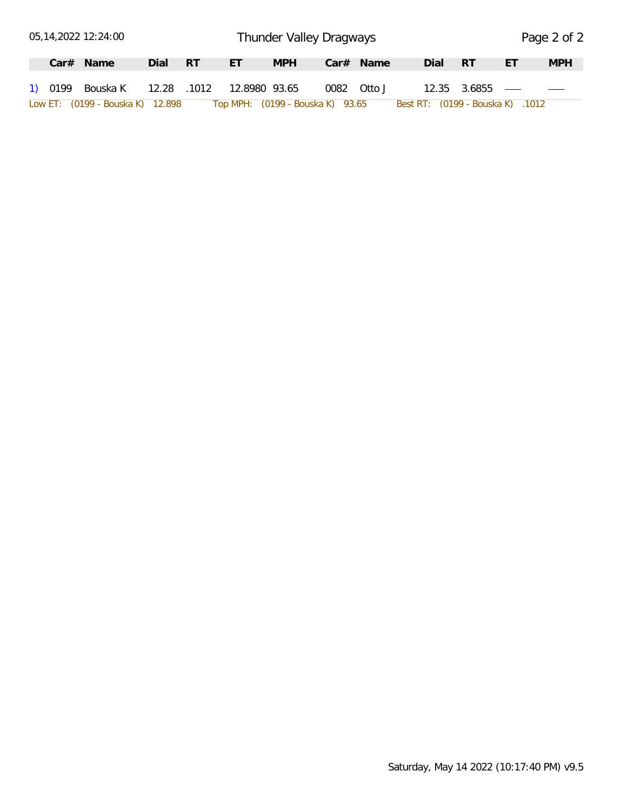|  | 05,14,2022 12:24:00                        |      |     |                                  |            | Thunder Valley Dragways |           |      |                                  |    | Page 2 of 2 |
|--|--------------------------------------------|------|-----|----------------------------------|------------|-------------------------|-----------|------|----------------------------------|----|-------------|
|  | $Car#$ Name                                | Dial | -RT | ET                               | <b>MPH</b> |                         | Car# Name | Dial | - RT                             | ЕT | <b>MPH</b>  |
|  | 1) 0199 Bouska K 12.28 .1012 12.8980 93.65 |      |     |                                  |            | 0082 Otto J             |           |      | $12.35$ $3.6855$ —               |    |             |
|  | Low ET: (0199 - Bouska K) 12.898           |      |     | Top MPH: (0199 - Bouska K) 93.65 |            |                         |           |      | Best RT: (0199 - Bouska K) .1012 |    |             |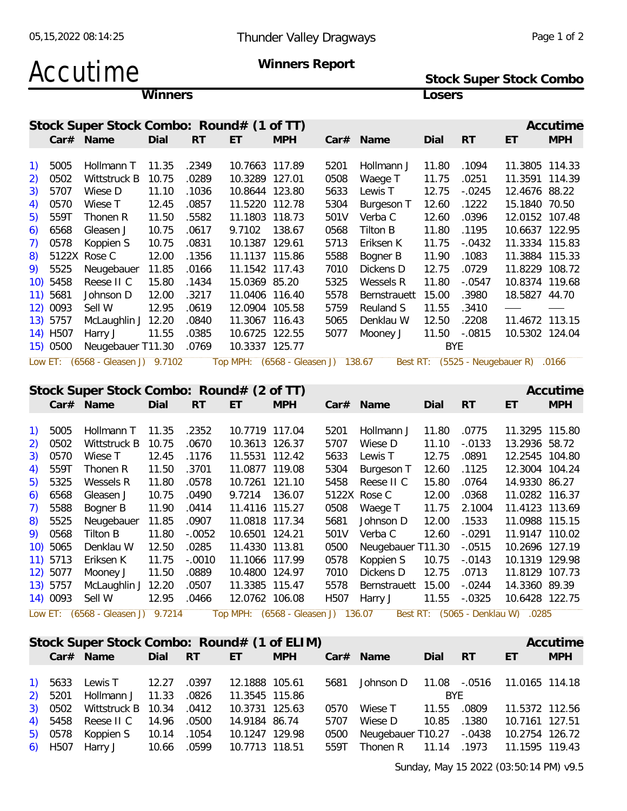**Stock Super Stock Combo**

# Accutime Winners Report

|          |                      |                                           | Winners |                |                                  |                                    |      |                                    | Losers     |                          |                                      |            |
|----------|----------------------|-------------------------------------------|---------|----------------|----------------------------------|------------------------------------|------|------------------------------------|------------|--------------------------|--------------------------------------|------------|
|          |                      | Stock Super Stock Combo: Round# (1 of TT) |         |                |                                  |                                    |      |                                    |            |                          |                                      | Accutime   |
|          |                      | Car# Name                                 | Dial    | <b>RT</b>      | ET                               | <b>MPH</b>                         |      | Car# Name                          | Dial       | <b>RT</b>                | ET                                   | <b>MPH</b> |
| 1)       | 5005                 | Hollmann T                                | 11.35   | .2349          | 10.7663 117.89                   |                                    | 5201 | Hollmann J                         | 11.80      | .1094                    | 11.3805 114.33                       |            |
| 2)       | 0502                 | Wittstruck B                              | 10.75   | .0289          | 10.3289 127.01                   |                                    | 0508 | Waege T                            | 11.75      | .0251                    | 11.3591 114.39                       |            |
| 3)       | 5707                 | Wiese D                                   | 11.10   | .1036          | 10.8644 123.80                   |                                    | 5633 | Lewis T                            | 12.75      | $-0.0245$                | 12.4676 88.22                        |            |
| 4)       | 0570                 | Wiese T                                   | 12.45   | .0857          | 11.5220 112.78                   |                                    | 5304 | Burgeson T                         | 12.60      | .1222                    | 15.1840 70.50                        |            |
| 5)       | 559T                 | Thonen R                                  | 11.50   | .5582          | 11.1803 118.73                   |                                    | 501V | Verba C                            | 12.60      | .0396                    | 12.0152 107.48                       |            |
| 6)       | 6568                 | Gleasen J                                 | 10.75   | .0617          | 9.7102 138.67                    |                                    | 0568 | Tilton B                           | 11.80      | .1195                    | 10.6637 122.95                       |            |
|          | 0578                 | Koppien S                                 | 10.75   | .0831          | 10.1387 129.61                   |                                    | 5713 | Eriksen K                          | 11.75      | $-.0432$                 | 11.3334 115.83                       |            |
| 8)       |                      | 5122X Rose C                              | 12.00   | .1356          | 11.1137 115.86                   |                                    | 5588 | Bogner B                           | 11.90      | .1083                    | 11.3884 115.33                       |            |
| 9).      | 5525                 | Neugebauer                                | 11.85   | .0166          | 11.1542 117.43                   |                                    | 7010 | Dickens D                          | 12.75      | .0729                    | 11.8229 108.72                       |            |
|          | 10) 5458             | Reese II C                                | 15.80   | .1434          | 15.0369 85.20                    |                                    | 5325 | Wessels R                          | 11.80      | $-.0547$                 | 10.8374 119.68                       |            |
|          | 11) 5681             | Johnson D                                 | 12.00   | .3217          | 11.0406 116.40                   |                                    | 5578 | Bernstrauett                       | 15.00      | .3980                    | 18.5827 44.70                        |            |
|          | 12) 0093             | Sell W                                    | 12.95   | .0619          | 12.0904 105.58                   |                                    | 5759 | Reuland S                          | 11.55      | .3410                    |                                      |            |
|          | 13) 5757             | McLaughlin J 12.20                        |         | .0840          | 11.3067 116.43                   |                                    | 5065 | Denklau W                          | 12.50      | .2208                    | 11.4672 113.15                       |            |
|          |                      |                                           |         | .0385          |                                  | 10.6725 122.55                     | 5077 | Mooney J                           | 11.50      | $-.0815$                 | 10.5302 124.04                       |            |
|          |                      |                                           |         |                |                                  |                                    |      |                                    |            |                          |                                      |            |
|          | 14) H507             | Harry J                                   | 11.55   | .0769          |                                  |                                    |      |                                    | <b>BYE</b> |                          |                                      |            |
|          | 15) 0500             | Neugebauer T11.30                         |         |                | 10.3337 125.77                   |                                    |      |                                    |            |                          |                                      |            |
|          |                      | Low ET: (6568 - Gleasen J) 9.7102         |         |                |                                  | Top MPH: (6568 - Gleasen J) 138.67 |      |                                    |            |                          | Best RT: (5525 - Neugebauer R) .0166 |            |
|          |                      |                                           |         |                |                                  |                                    |      |                                    |            |                          |                                      |            |
|          |                      | Stock Super Stock Combo: Round# (2 of TT) |         |                |                                  |                                    |      |                                    |            |                          |                                      | Accutime   |
|          |                      | Car# Name                                 | Dial    | RT             | ET                               | <b>MPH</b>                         |      | Car# Name                          | Dial       | RT                       | ET                                   | <b>MPH</b> |
| 1)       | 5005                 | Hollmann T                                | 11.35   | .2352          | 10.7719 117.04                   |                                    | 5201 | Hollmann J                         | 11.80      | .0775                    | 11.3295 115.80                       |            |
|          | 0502                 | Wittstruck B                              | 10.75   | .0670          | 10.3613 126.37                   |                                    | 5707 | Wiese D                            | 11.10      | $-.0133$                 | 13.2936 58.72                        |            |
| 2)<br>3) | 0570                 | Wiese T                                   | 12.45   | .1176          | 11.5531 112.42                   |                                    |      | Lewis T                            | 12.75      | .0891                    | 12.2545 104.80                       |            |
|          |                      | Thonen R                                  |         |                |                                  |                                    | 5633 |                                    |            |                          |                                      |            |
| 4)<br>5) | 559T                 | Wessels R                                 | 11.50   | .3701          | 11.0877 119.08                   |                                    | 5304 | Burgeson T                         | 12.60      | .1125                    | 12.3004 104.24                       |            |
|          | 5325                 |                                           | 11.80   | .0578          | 10.7261 121.10                   |                                    | 5458 | Reese II C                         | 15.80      | .0764                    | 14.9330 86.27                        |            |
| 6)       | 6568                 | Gleasen J                                 | 10.75   | .0490          | 9.7214 136.07                    |                                    |      | 5122X Rose C                       | 12.00      | .0368                    | 11.0282 116.37                       |            |
| 7)       | 5588                 | Bogner B                                  | 11.90   | .0414          | 11.4116 115.27                   |                                    | 0508 | Waege T                            | 11.75      | 2.1004                   | 11.4123 113.69                       |            |
| 8)       | 5525                 | Neugebauer                                | 11.85   | .0907          | 11.0818 117.34                   |                                    | 5681 | Johnson D                          | 12.00      | .1533                    | 11.0988 115.15                       |            |
| 9).      | 0568                 | Tilton B                                  | 11.80   | $-.0052$       | 10.6501 124.21                   |                                    | 501V | Verba C                            | 12.60      | $-.0291$                 | 11.9147 110.02                       |            |
|          | 10) 5065             | Denklau W                                 | 12.50   | .0285          | 11.4330 113.81                   |                                    |      | 0500 Neugebauer T11.30 -.0515      |            |                          | 10.2696 127.19                       |            |
|          | 11) 5713             | Eriksen K                                 | 11.75   | $-.0010$       | 11.1066 117.99                   |                                    | 0578 | Koppien S                          | 10.75      | $-.0143$                 | 10.1319 129.98                       |            |
|          | 12) 5077             | Mooney J                                  | 11.50   | .0889          | 10.4800 124.97                   |                                    | 7010 | Dickens D                          | 12.75      | .0713                    | 11.8129 107.73                       |            |
|          | 13) 5757<br>14) 0093 | McLaughlin J 12.20<br>Sell W              | 12.95   | .0507<br>.0466 | 11.3385 115.47<br>12.0762 106.08 |                                    | 5578 | Bernstrauett 15.00<br>H507 Harry J |            | $-.0244$<br>11.55 -.0325 | 14.3360 89.39<br>10.6428 122.75      |            |

|  | Stock Super Stock Combo: Round# (1 of ELIM)     |         |                |            |                                                                 |             |       |                | Accutime   |
|--|-------------------------------------------------|---------|----------------|------------|-----------------------------------------------------------------|-------------|-------|----------------|------------|
|  | Car# Name                                       | Dial RT | ET -           | <b>MPH</b> | Car# Name                                                       | Dial RT     |       | ET             | <b>MPH</b> |
|  | 1) 5633 Lewis T 12.27 .0397                     |         |                |            | 12.1888 105.61  5681  Johnson D  11.08  -.0516  11.0165  114.18 |             |       |                |            |
|  | 2) 5201 Hollmann J 11.33 .0826 11.3545 115.86   |         |                |            |                                                                 | BYE.        |       |                |            |
|  | 3) 0502 Wittstruck B 10.34 .0412 10.3731 125.63 |         |                |            | 0570 Wiese T                                                    | 11.55 .0809 |       | 11.5372 112.56 |            |
|  | 4) 5458 Reese II C 14.96 .0500 14.9184 86.74    |         |                |            | 5707 Wiese D                                                    | 10.85       | .1380 | 10.7161 127.51 |            |
|  | 5) 0578 Koppien S 10.14 .1054 10.1247 129.98    |         |                |            | 0500 Neugebauer T10.27 -.0438 10.2754 126.72                    |             |       |                |            |
|  | 6) H507 Harry J 10.66 .0599                     |         | 10.7713 118.51 |            | 559T Thonen R 11.14 .1973 11.1595 119.43                        |             |       |                |            |

Sunday, May 15 2022 (03:50:14 PM) v9.5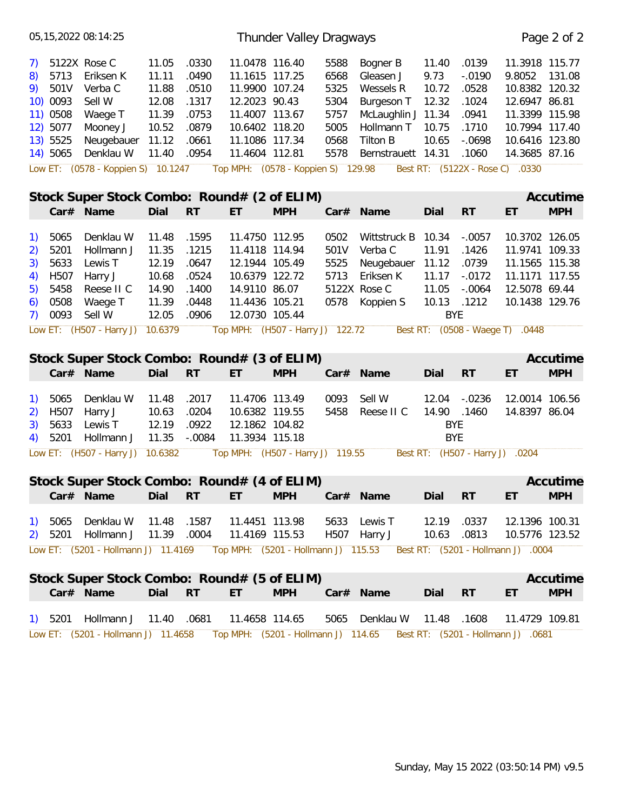|                                                                              |                                                                          | 05, 15, 2022 08: 14: 25                                                                                    |                                                                      |                                                                      |                                                                                                                                             | Thunder Valley Dragways            |                                                              |                                                                                                                        |                                                                  |                                                                           |                                                                                                                                    | Page 2 of 2            |
|------------------------------------------------------------------------------|--------------------------------------------------------------------------|------------------------------------------------------------------------------------------------------------|----------------------------------------------------------------------|----------------------------------------------------------------------|---------------------------------------------------------------------------------------------------------------------------------------------|------------------------------------|--------------------------------------------------------------|------------------------------------------------------------------------------------------------------------------------|------------------------------------------------------------------|---------------------------------------------------------------------------|------------------------------------------------------------------------------------------------------------------------------------|------------------------|
| 7)<br>8)<br>9)                                                               | 5713<br>501V<br>10) 0093<br>11) 0508<br>12) 5077<br>13) 5525<br>14) 5065 | 5122X Rose C<br>Eriksen K<br>Verba C<br>Sell W<br>Waege T<br>Mooney J<br>Neugebauer<br>Denklau W           | 11.05<br>11.11<br>11.88<br>12.08<br>11.39<br>10.52<br>11.12<br>11.40 | .0330<br>.0490<br>.0510<br>.1317<br>.0753<br>.0879<br>.0661<br>.0954 | 11.0478 116.40<br>11.1615 117.25<br>11.9900 107.24<br>12.2023 90.43<br>11.4007 113.67<br>10.6402 118.20<br>11.1086 117.34<br>11.4604 112.81 |                                    | 5588<br>6568<br>5325<br>5304<br>5757<br>5005<br>0568<br>5578 | Bogner B<br>Gleasen J<br>Wessels R<br>Burgeson T<br>McLaughlin J 11.34<br>Hollmann T<br>Tilton B<br>Bernstrauett 14.31 | 11.40<br>9.73<br>10.72<br>12.32<br>10.75<br>10.65                | .0139<br>$-.0190$<br>.0528<br>.1024<br>.0941<br>.1710<br>$-0698$<br>.1060 | 11.3918 115.77<br>9.8052<br>10.8382 120.32<br>12.6947 86.81<br>11.3399 115.98<br>10.7994 117.40<br>10.6416 123.80<br>14.3685 87.16 | 131.08                 |
|                                                                              |                                                                          | Low ET: (0578 - Koppien S) 10.1247                                                                         |                                                                      |                                                                      |                                                                                                                                             | Top MPH: (0578 - Koppien S) 129.98 |                                                              |                                                                                                                        |                                                                  | Best RT: (5122X - Rose C)                                                 | .0330                                                                                                                              |                        |
|                                                                              |                                                                          | Stock Super Stock Combo: Round# (2 of ELIM)<br>Car# Name                                                   | Dial                                                                 | <b>RT</b>                                                            | ET                                                                                                                                          | <b>MPH</b>                         |                                                              | Car# Name                                                                                                              | Dial                                                             | RT                                                                        | ET                                                                                                                                 | Accutime<br><b>MPH</b> |
| $\left( \begin{matrix} 1 \end{matrix} \right)$<br>2)<br>3)<br>4)<br>5)<br>6) | 5065<br>5201<br>5633<br>H507<br>5458<br>0508<br>7) 0093                  | Denklau W<br>Hollmann J<br>Lewis T<br>Harry J<br>Reese II C<br>Waege T<br>Sell W                           | 11.48<br>11.35<br>12.19<br>10.68<br>14.90<br>11.39<br>12.05          | .1595<br>.1215<br>.0647<br>.0524<br>.1400<br>.0448<br>.0906          | 11.4750 112.95<br>11.4118 114.94<br>12.1944 105.49<br>10.6379 122.72<br>14.9110 86.07<br>11.4436 105.21<br>12.0730 105.44                   |                                    | 0502<br>501V<br>5525<br>5713<br>0578                         | Wittstruck B<br>Verba C<br>Neugebauer<br>Eriksen K<br>5122X Rose C<br>Koppien S                                        | 10.34<br>11.91<br>11.12<br>11.17<br>11.05<br>10.13<br><b>BYE</b> | $-.0057$<br>.1426<br>.0739<br>$-.0172$<br>$-.0064$<br>.1212               | 10.3702 126.05<br>11.9741 109.33<br>11.1565 115.38<br>11.1171 117.55<br>12.5078 69.44<br>10.1438 129.76                            |                        |
|                                                                              |                                                                          | Low ET: (H507 - Harry J)                                                                                   | 10.6379                                                              |                                                                      |                                                                                                                                             | Top MPH: (H507 - Harry J) 122.72   |                                                              |                                                                                                                        |                                                                  | Best RT: (0508 - Waege T)                                                 | .0448                                                                                                                              |                        |
|                                                                              |                                                                          | Stock Super Stock Combo: Round# (3 of ELIM)<br>Car# Name                                                   | Dial                                                                 | <b>RT</b>                                                            | ET                                                                                                                                          | <b>MPH</b>                         |                                                              | Car# Name                                                                                                              | Dial                                                             | <b>RT</b>                                                                 | ET                                                                                                                                 | Accutime<br><b>MPH</b> |
| $\left( \begin{matrix} 1 \end{matrix} \right)$<br>2)<br>3)<br>4)             | 5065<br>H <sub>507</sub><br>5633<br>5201                                 | Denklau W<br>Harry J<br>Lewis T<br>Hollmann J                                                              | 11.48<br>10.63<br>12.19<br>11.35                                     | .2017<br>.0204<br>.0922<br>$-.0084$                                  | 11.4706 113.49<br>10.6382 119.55<br>12.1862 104.82<br>11.3934 115.18                                                                        |                                    | 0093<br>5458                                                 | Sell W<br>Reese II C                                                                                                   | 12.04<br>14.90<br><b>BYE</b><br><b>BYE</b>                       | $-.0236$<br>.1460                                                         | 12.0014 106.56<br>14.8397 86.04                                                                                                    |                        |
|                                                                              |                                                                          | Low ET: (H507 - Harry J) 10.6382                                                                           |                                                                      |                                                                      |                                                                                                                                             | Top MPH: (H507 - Harry J) 119.55   |                                                              |                                                                                                                        |                                                                  | Best RT: (H507 - Harry J)                                                 | .0204                                                                                                                              |                        |
|                                                                              |                                                                          | Stock Super Stock Combo: Round# (4 of ELIM)<br>Car# Name                                                   | Dial RT                                                              |                                                                      | ET                                                                                                                                          | <b>MPH</b>                         |                                                              | Car# Name                                                                                                              | Dial RT                                                          |                                                                           | ET.                                                                                                                                | Accutime<br><b>MPH</b> |
| $\left( \begin{array}{c} 1 \end{array} \right)$<br>2)                        |                                                                          | 5065 Denklau W<br>5201 Hollmann J                                                                          | 11.48 .1587<br>11.39 .0004                                           |                                                                      | 11.4451 113.98<br>11.4169 115.53                                                                                                            |                                    |                                                              | 5633 Lewis T<br>H507 Harry J                                                                                           | 12.19<br>10.63                                                   | .0337<br>.0813                                                            | 12.1396 100.31<br>10.5776 123.52                                                                                                   |                        |
|                                                                              |                                                                          | Low ET: (5201 - Hollmann J) 11.4169 Top MPH: (5201 - Hollmann J) 115.53 Best RT: (5201 - Hollmann J) .0004 |                                                                      |                                                                      |                                                                                                                                             |                                    |                                                              |                                                                                                                        |                                                                  |                                                                           |                                                                                                                                    |                        |
|                                                                              |                                                                          |                                                                                                            |                                                                      |                                                                      |                                                                                                                                             |                                    |                                                              |                                                                                                                        |                                                                  |                                                                           |                                                                                                                                    |                        |
|                                                                              |                                                                          | Stock Super Stock Combo: Round# (5 of ELIM)<br>Car# Name                                                   | Dial RT                                                              |                                                                      | ET.                                                                                                                                         | <b>MPH</b>                         |                                                              | Car# Name                                                                                                              | Dial RT                                                          |                                                                           | ET                                                                                                                                 | Accutime<br><b>MPH</b> |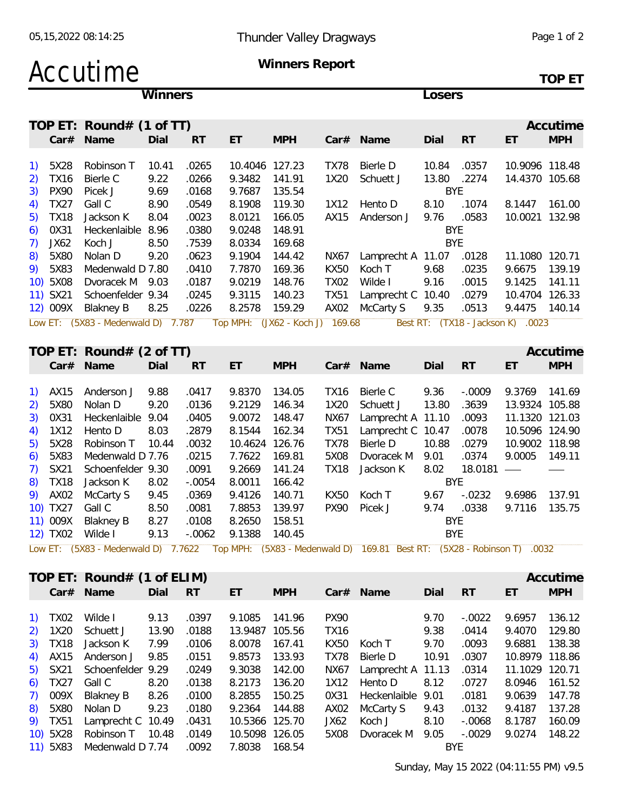## Accutime **Winners Report**

**TOP ET**

|                                                |                      |                                    | Winners |           |                |                                 |             |                                                                                                             | Losers     |           |                                   |            |
|------------------------------------------------|----------------------|------------------------------------|---------|-----------|----------------|---------------------------------|-------------|-------------------------------------------------------------------------------------------------------------|------------|-----------|-----------------------------------|------------|
|                                                |                      | TOP ET: Round# $(1$ of TT)         |         |           |                |                                 |             |                                                                                                             |            |           |                                   | Accutime   |
|                                                | Car#                 | Name                               | Dial    | <b>RT</b> | ET             | <b>MPH</b>                      |             | Car# Name                                                                                                   | Dial       | RT        | ET                                | <b>MPH</b> |
| $\left( \begin{matrix} 1 \end{matrix} \right)$ | 5X28                 | Robinson T                         | 10.41   | .0265     | 10.4046 127.23 |                                 | <b>TX78</b> | <b>Bierle D</b>                                                                                             | 10.84      | .0357     | 10.9096 118.48                    |            |
| 2)                                             | <b>TX16</b>          | Bierle C                           | 9.22    | .0266     | 9.3482         | 141.91                          | 1X20        | Schuett J                                                                                                   | 13.80      | .2274     | 14.4370 105.68                    |            |
| 3)                                             | <b>PX90</b>          | Picek J                            | 9.69    | .0168     | 9.7687         | 135.54                          |             |                                                                                                             | <b>BYE</b> |           |                                   |            |
| 4)                                             | <b>TX27</b>          | Gall C                             | 8.90    | .0549     | 8.1908         | 119.30                          | 1X12        | Hento D                                                                                                     | 8.10       | .1074     | 8.1447                            | 161.00     |
| 5)                                             | <b>TX18</b>          | Jackson K                          | 8.04    | .0023     | 8.0121         | 166.05                          | AX15        | Anderson J                                                                                                  | 9.76       | .0583     | 10.0021 132.98                    |            |
| 6)                                             | 0X31                 | Heckenlaible 8.96                  |         | .0380     | 9.0248         | 148.91                          |             |                                                                                                             | <b>BYE</b> |           |                                   |            |
| 7)                                             | JX62                 | Koch J                             | 8.50    | .7539     | 8.0334         | 169.68                          |             |                                                                                                             | <b>BYE</b> |           |                                   |            |
| 8)                                             | 5X80                 | Nolan D                            | 9.20    | .0623     | 9.1904         | 144.42                          | NX67        | Lamprecht A 11.07                                                                                           |            | .0128     | 11.1080 120.71                    |            |
| 9)                                             | 5X83                 | Medenwald D 7.80                   |         | .0410     | 7.7870         | 169.36                          | KX50        | Koch T                                                                                                      | 9.68       | .0235     | 9.6675                            | 139.19     |
|                                                | 10) 5X08             | Dvoracek M 9.03                    |         | .0187     | 9.0219         | 148.76                          | <b>TX02</b> | Wilde I                                                                                                     | 9.16       | .0015     | 9.1425                            | 141.11     |
|                                                |                      | Schoenfelder 9.34                  |         | .0245     | 9.3115         | 140.23                          | <b>TX51</b> | Lamprecht C 10.40                                                                                           |            | .0279     | 10.4704 126.33                    |            |
|                                                | 11) SX21<br>12) 009X |                                    |         | .0226     | 8.2578         | 159.29                          |             | AX02 McCarty S                                                                                              | 9.35       | .0513     | 9.4475 140.14                     |            |
|                                                |                      | <b>Blakney B</b>                   | 8.25    |           |                |                                 |             |                                                                                                             |            |           |                                   |            |
|                                                |                      | Low ET: (5X83 - Medenwald D) 7.787 |         |           |                | Top MPH: (JX62 - Koch J) 169.68 |             |                                                                                                             |            |           | Best RT: (TX18 - Jackson K) .0023 |            |
|                                                |                      | TOP ET: Round# (2 of TT)           |         |           |                |                                 |             |                                                                                                             |            |           |                                   | Accutime   |
|                                                |                      | Car# Name                          | Dial    | <b>RT</b> | ET             | <b>MPH</b>                      |             | Car# Name                                                                                                   | Dial       | RT        | ET                                | <b>MPH</b> |
|                                                |                      |                                    |         |           |                |                                 |             |                                                                                                             |            |           |                                   |            |
| $\left( \begin{matrix} 1 \end{matrix} \right)$ | AX15                 | Anderson J                         | 9.88    | .0417     | 9.8370         | 134.05                          | <b>TX16</b> | Bierle C                                                                                                    | 9.36       | $-.0009$  | 9.3769                            | 141.69     |
| 2)                                             | 5X80                 | Nolan D                            | 9.20    | .0136     | 9.2129         | 146.34                          | 1X20        | Schuett J                                                                                                   | 13.80      | .3639     | 13.9324 105.88                    |            |
| 3)                                             | 0X31                 | Heckenlaible 9.04                  |         | .0405     | 9.0072         | 148.47                          | <b>NX67</b> | Lamprecht A 11.10                                                                                           |            | .0093     | 11.1320 121.03                    |            |
| 4)                                             | 1X12                 | Hento D                            | 8.03    | .2879     | 8.1544         | 162.34                          | <b>TX51</b> | Lamprecht C 10.47                                                                                           |            | .0078     | 10.5096 124.90                    |            |
|                                                | 5X28                 | Robinson T                         | 10.44   | .0032     | 10.4624        | 126.76                          | <b>TX78</b> | Bierle D                                                                                                    | 10.88      | .0279     | 10.9002 118.98                    |            |
| 5)                                             | 5X83                 | Medenwald D 7.76                   |         |           | 7.7622         | 169.81                          |             |                                                                                                             |            | .0374     | 9.0005                            | 149.11     |
| 6)                                             |                      |                                    |         | .0215     |                |                                 | 5X08        | Dvoracek M                                                                                                  | 9.01       |           |                                   |            |
| 7)                                             | <b>SX21</b>          | Schoenfelder 9.30                  |         | .0091     | 9.2669         | 141.24                          | <b>TX18</b> | Jackson K                                                                                                   | 8.02       | 18.0181   |                                   |            |
| 8)                                             | <b>TX18</b>          | Jackson K                          | 8.02    | $-.0054$  | 8.0011         | 166.42                          |             |                                                                                                             | <b>BYE</b> |           |                                   |            |
|                                                | 9) AX02              | McCarty S                          | 9.45    | .0369     | 9.4126         | 140.71                          | KX50        | Koch T                                                                                                      | 9.67       | $-.0232$  | 9.6986                            | 137.91     |
|                                                | 10) TX27             | Gall C                             | 8.50    | .0081     | 7.8853         | 139.97                          | <b>PX90</b> | Picek J                                                                                                     | 9.74       | .0338     | 9.7116                            | 135.75     |
|                                                | 11) 009X             | <b>Blakney B</b>                   | 8.27    | .0108     | 8.2650         | 158.51                          |             |                                                                                                             | <b>BYE</b> |           |                                   |            |
|                                                | 12) TX02             | Wilde I                            | 9.13    | $-.0062$  | 9.1388         | 140.45                          |             |                                                                                                             | <b>BYE</b> |           |                                   |            |
|                                                |                      |                                    |         |           |                |                                 |             | Low ET: (5X83 - Medenwald D) 7.7622 Top MPH: (5X83 - Medenwald D) 169.81 Best RT: (5X28 - Robinson T) .0032 |            |           |                                   |            |
|                                                |                      | TOP ET: Round# (1 of ELIM)         |         |           |                |                                 |             |                                                                                                             |            |           |                                   | Accutime   |
|                                                |                      | Car# Name                          | Dial    | <b>RT</b> | ET             | <b>MPH</b>                      |             | Car# Name                                                                                                   | Dial       | <b>RT</b> | ET                                | <b>MPH</b> |
|                                                |                      |                                    |         |           |                |                                 |             |                                                                                                             |            |           |                                   |            |
|                                                | 1) TX02              | Wilde I                            | 9.13    | .0397     | 9.1085         | 141.96                          | <b>PX90</b> |                                                                                                             | 9.70       | $-.0022$  | 9.6957                            | 136.12     |
| 2)                                             | 1X20                 | Schuett J                          | 13.90   | .0188     | 13.9487 105.56 |                                 | <b>TX16</b> |                                                                                                             | 9.38       | .0414     | 9.4070                            | 129.80     |
| 3)                                             | <b>TX18</b>          | Jackson K                          | 7.99    | .0106     | 8.0078         | 167.41                          | KX50        | Koch T                                                                                                      | 9.70       | .0093     | 9.6881                            | 138.38     |
| 4)                                             | AX15                 | Anderson J                         | 9.85    | .0151     | 9.8573         | 133.93                          | <b>TX78</b> | Bierle D                                                                                                    | 10.91      | .0307     | 10.8979 118.86                    |            |
| 5)                                             | SX21                 | Schoenfelder 9.29                  |         | .0249     | 9.3038         | 142.00                          | NX67        | Lamprecht A 11.13                                                                                           |            | .0314     | 11.1029 120.71                    |            |
| 6)                                             | <b>TX27</b>          | Gall C                             | 8.20    | .0138     | 8.2173         | 136.20                          | 1X12        | Hento D                                                                                                     | 8.12       | .0727     | 8.0946                            | 161.52     |
| 7)                                             | 009X                 | <b>Blakney B</b>                   | 8.26    | .0100     | 8.2855         | 150.25                          | 0X31        | Heckenlaible 9.01                                                                                           |            | .0181     | 9.0639                            | 147.78     |
| 8)                                             | 5X80                 | Nolan D                            | 9.23    | .0180     | 9.2364         | 144.88                          | AX02        | McCarty S                                                                                                   | 9.43       | .0132     | 9.4187                            | 137.28     |
| 9)                                             | <b>TX51</b>          | Lamprecht C 10.49                  |         | .0431     | 10.5366 125.70 |                                 | JX62        | Koch J                                                                                                      | 8.10       | $-.0068$  | 8.1787 160.09                     |            |
|                                                |                      |                                    |         |           |                |                                 |             |                                                                                                             |            |           |                                   |            |

10) 5X28 Robinson T 10.48 .0149 10.5098 126.05 5X08 Dvoracek M 9.05 -.0029 9.0274 148.22

11) 5X83 Medenwald D 7.74 .0092 7.8038 168.54 BYE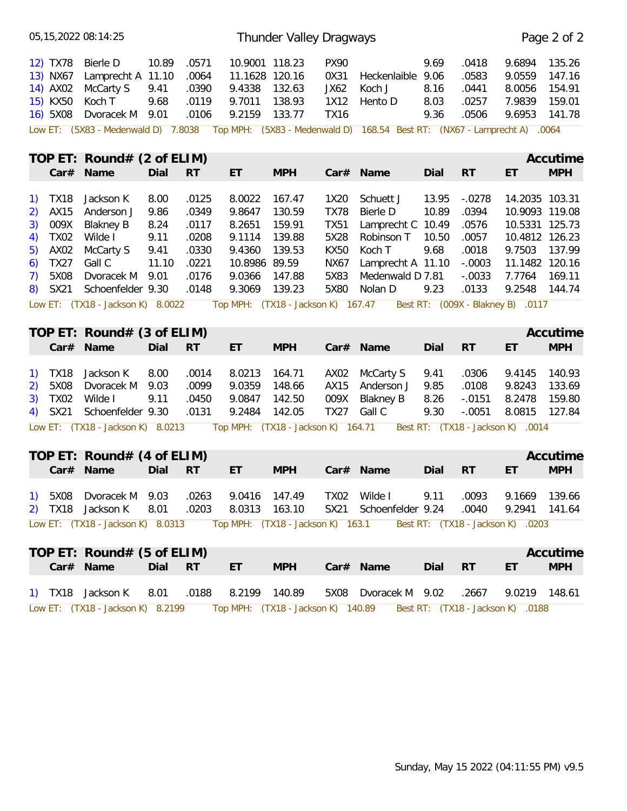| 135.26<br>Bierle D<br>10.89<br>.0571<br>10.9001 118.23<br><b>PX90</b><br>9.69<br>.0418<br>12) TX78<br>9.6894<br>.0583<br>13) NX67<br>Lamprecht A 11.10<br>.0064<br>11.1628 120.16<br>0X31<br>9.06<br>9.0559<br>147.16<br>Heckenlaible<br>154.91<br>14) AX02<br>McCarty S<br>9.41<br>.0390<br>9.4338<br>132.63<br>JX62<br>Koch J<br>8.16<br>.0441<br>8.0056<br>15) KX50<br>.0119<br>9.7011<br>138.93<br>.0257<br>7.9839<br>159.01<br>Koch T<br>9.68<br>1X12<br>8.03<br>Hento D<br>16) 5X08<br>9.2159<br>133.77<br>9.36<br>Dvoracek M 9.01<br>.0106<br><b>TX16</b><br>.0506<br>9.6953<br>141.78<br>Top MPH: (5X83 - Medenwald D) 168.54 Best RT: (NX67 - Lamprecht A) .0064<br>Low ET: (5X83 - Medenwald D) 7.8038<br>TOP ET: Round# $(2 \text{ of ELIM})$<br>Accutime<br><b>MPH</b><br>Car# Name<br>Dial<br><b>RT</b><br><b>RT</b><br>ET<br><b>MPH</b><br>Car# Name<br>Dial<br>ET<br>.0125<br>8.0022<br>8.00<br>167.47<br>13.95<br>$-.0278$<br>14.2035 103.31<br>TX18<br>Jackson K<br>1X20<br>Schuett J<br>9.8647<br>.0394<br>10.9093 119.08<br>AX15<br>Anderson J<br>9.86<br>.0349<br>130.59<br><b>TX78</b><br><b>Bierle D</b><br>10.89<br>009X<br><b>Blakney B</b><br>8.24<br>.0117<br>8.2651<br>159.91<br><b>TX51</b><br>Lamprecht C 10.49<br>.0576<br>10.5331 125.73<br><b>TX02</b><br>Wilde I<br>9.11<br>139.88<br>.0208<br>9.1114<br>5X28<br>Robinson T<br>10.50<br>.0057<br>10.4812 126.23<br>AX02<br>McCarty S<br>9.41<br>.0330<br>9.68<br>.0018<br>9.7503<br>137.99<br>9.4360<br>139.53<br><b>KX50</b><br>Koch T<br><b>TX27</b><br>Gall C<br>11.10<br>10.8986 89.59<br>$-.0003$<br>11.1482 120.16<br>.0221<br>NX67<br>Lamprecht A 11.10<br>5X08<br>Dvoracek M<br>.0176<br>9.0366<br>147.88<br>$-.0033$<br>9.01<br>5X83<br>Medenwald D 7.81<br>7.7764<br>169.11<br>9.3069<br>139.23<br>5X80<br>.0133<br>9.2548<br>SX21<br>Schoenfelder 9.30<br>.0148<br>Nolan D<br>9.23<br>144.74<br>Top MPH: (TX18 - Jackson K) 167.47<br>Best RT: (009X - Blakney B) .0117<br>Low ET: (TX18 - Jackson K) 8.0022<br>TOP ET: Round# $(3 \text{ of ELIM})$<br>Accutime<br>Car# Name<br><b>RT</b><br><b>MPH</b><br><b>RT</b><br><b>MPH</b><br>Dial<br>ET<br>Car# Name<br>Dial<br>ET<br>Jackson K<br>8.00<br>.0014<br>8.0213<br>164.71<br>McCarty S<br>.0306<br>9.4145<br>140.93<br>TX18<br>AX02<br>9.41<br>.0099<br>9.0359<br>.0108<br>9.8243<br>133.69<br>5X08<br>Dvoracek M 9.03<br>148.66<br>AX15<br>Anderson J<br>9.85<br><b>TX02</b><br>Wilde I<br>9.11<br>.0450<br>9.0847<br>8.2478<br>159.80<br>142.50<br>009X<br><b>Blakney B</b><br>8.26<br>$-.0151$<br>3)<br>9.2484<br><b>TX27</b><br>Gall C<br>9.30<br>$-.0051$<br>8.0815<br>SX21<br>Schoenfelder 9.30<br>.0131<br>142.05<br>127.84<br>4)<br>Top MPH: (TX18 - Jackson K) 164.71<br>Low ET: (TX18 - Jackson K) 8.0213<br>Best RT: (TX18 - Jackson K) .0014<br>TOP ET: Round# $(4 \text{ of ELIM})$<br>Accutime<br><b>MPH</b><br>Car# Name<br>Dial<br><b>RT</b><br>ET<br><b>MPH</b><br>Car# Name<br>Dial<br><b>RT</b><br>ET<br>1) 5X08 Dvoracek M 9.03<br>TX02 Wilde I<br>.0263<br>9.0416 147.49<br>9.11<br>.0093<br>9.1669 139.66<br>2) TX18 Jackson K<br>8.01<br>.0203<br>8.0313 163.10<br>SX21 Schoenfelder 9.24<br>.0040<br>9.2941 141.64<br>Low ET: (TX18 - Jackson K) 8.0313 Top MPH: (TX18 - Jackson K) 163.1<br>Best RT: (TX18 - Jackson K) .0203<br>TOP ET: Round# (5 of ELIM)<br>Accutime<br><b>MPH</b><br>Car# Name<br>Dial RT<br><b>MPH</b><br>Car# Name<br>Dial<br><b>RT</b><br>ET.<br>ET.<br>.0188  8.2199  140.89<br>1) TX18 Jackson K<br>5X08 Dvoracek M 9.02<br>9.0219 148.61<br>8.01<br>.2667 |                          | 05, 15, 2022 08: 14: 25 |  | Thunder Valley Dragways |  |  | Page 2 of 2 |
|---------------------------------------------------------------------------------------------------------------------------------------------------------------------------------------------------------------------------------------------------------------------------------------------------------------------------------------------------------------------------------------------------------------------------------------------------------------------------------------------------------------------------------------------------------------------------------------------------------------------------------------------------------------------------------------------------------------------------------------------------------------------------------------------------------------------------------------------------------------------------------------------------------------------------------------------------------------------------------------------------------------------------------------------------------------------------------------------------------------------------------------------------------------------------------------------------------------------------------------------------------------------------------------------------------------------------------------------------------------------------------------------------------------------------------------------------------------------------------------------------------------------------------------------------------------------------------------------------------------------------------------------------------------------------------------------------------------------------------------------------------------------------------------------------------------------------------------------------------------------------------------------------------------------------------------------------------------------------------------------------------------------------------------------------------------------------------------------------------------------------------------------------------------------------------------------------------------------------------------------------------------------------------------------------------------------------------------------------------------------------------------------------------------------------------------------------------------------------------------------------------------------------------------------------------------------------------------------------------------------------------------------------------------------------------------------------------------------------------------------------------------------------------------------------------------------------------------------------------------------------------------------------------------------------------------------------------------------------------------------------------------------------------------------------------------------------------------------------------------------------------------------------------------------------------------------------------------------------------------------------------------------------------------------------------------------------------------------------------------------------------------------------------------------------------------------------------------------------------------------------------------------------------------------------------------|--------------------------|-------------------------|--|-------------------------|--|--|-------------|
|                                                                                                                                                                                                                                                                                                                                                                                                                                                                                                                                                                                                                                                                                                                                                                                                                                                                                                                                                                                                                                                                                                                                                                                                                                                                                                                                                                                                                                                                                                                                                                                                                                                                                                                                                                                                                                                                                                                                                                                                                                                                                                                                                                                                                                                                                                                                                                                                                                                                                                                                                                                                                                                                                                                                                                                                                                                                                                                                                                                                                                                                                                                                                                                                                                                                                                                                                                                                                                                                                                                                                               |                          |                         |  |                         |  |  |             |
|                                                                                                                                                                                                                                                                                                                                                                                                                                                                                                                                                                                                                                                                                                                                                                                                                                                                                                                                                                                                                                                                                                                                                                                                                                                                                                                                                                                                                                                                                                                                                                                                                                                                                                                                                                                                                                                                                                                                                                                                                                                                                                                                                                                                                                                                                                                                                                                                                                                                                                                                                                                                                                                                                                                                                                                                                                                                                                                                                                                                                                                                                                                                                                                                                                                                                                                                                                                                                                                                                                                                                               |                          |                         |  |                         |  |  |             |
|                                                                                                                                                                                                                                                                                                                                                                                                                                                                                                                                                                                                                                                                                                                                                                                                                                                                                                                                                                                                                                                                                                                                                                                                                                                                                                                                                                                                                                                                                                                                                                                                                                                                                                                                                                                                                                                                                                                                                                                                                                                                                                                                                                                                                                                                                                                                                                                                                                                                                                                                                                                                                                                                                                                                                                                                                                                                                                                                                                                                                                                                                                                                                                                                                                                                                                                                                                                                                                                                                                                                                               |                          |                         |  |                         |  |  |             |
|                                                                                                                                                                                                                                                                                                                                                                                                                                                                                                                                                                                                                                                                                                                                                                                                                                                                                                                                                                                                                                                                                                                                                                                                                                                                                                                                                                                                                                                                                                                                                                                                                                                                                                                                                                                                                                                                                                                                                                                                                                                                                                                                                                                                                                                                                                                                                                                                                                                                                                                                                                                                                                                                                                                                                                                                                                                                                                                                                                                                                                                                                                                                                                                                                                                                                                                                                                                                                                                                                                                                                               |                          |                         |  |                         |  |  |             |
|                                                                                                                                                                                                                                                                                                                                                                                                                                                                                                                                                                                                                                                                                                                                                                                                                                                                                                                                                                                                                                                                                                                                                                                                                                                                                                                                                                                                                                                                                                                                                                                                                                                                                                                                                                                                                                                                                                                                                                                                                                                                                                                                                                                                                                                                                                                                                                                                                                                                                                                                                                                                                                                                                                                                                                                                                                                                                                                                                                                                                                                                                                                                                                                                                                                                                                                                                                                                                                                                                                                                                               | <sup>1</sup><br>2)<br>3) |                         |  |                         |  |  |             |
|                                                                                                                                                                                                                                                                                                                                                                                                                                                                                                                                                                                                                                                                                                                                                                                                                                                                                                                                                                                                                                                                                                                                                                                                                                                                                                                                                                                                                                                                                                                                                                                                                                                                                                                                                                                                                                                                                                                                                                                                                                                                                                                                                                                                                                                                                                                                                                                                                                                                                                                                                                                                                                                                                                                                                                                                                                                                                                                                                                                                                                                                                                                                                                                                                                                                                                                                                                                                                                                                                                                                                               | 4)<br>5)                 |                         |  |                         |  |  |             |
|                                                                                                                                                                                                                                                                                                                                                                                                                                                                                                                                                                                                                                                                                                                                                                                                                                                                                                                                                                                                                                                                                                                                                                                                                                                                                                                                                                                                                                                                                                                                                                                                                                                                                                                                                                                                                                                                                                                                                                                                                                                                                                                                                                                                                                                                                                                                                                                                                                                                                                                                                                                                                                                                                                                                                                                                                                                                                                                                                                                                                                                                                                                                                                                                                                                                                                                                                                                                                                                                                                                                                               | 6)<br>7)<br>8)           |                         |  |                         |  |  |             |
|                                                                                                                                                                                                                                                                                                                                                                                                                                                                                                                                                                                                                                                                                                                                                                                                                                                                                                                                                                                                                                                                                                                                                                                                                                                                                                                                                                                                                                                                                                                                                                                                                                                                                                                                                                                                                                                                                                                                                                                                                                                                                                                                                                                                                                                                                                                                                                                                                                                                                                                                                                                                                                                                                                                                                                                                                                                                                                                                                                                                                                                                                                                                                                                                                                                                                                                                                                                                                                                                                                                                                               |                          |                         |  |                         |  |  |             |
|                                                                                                                                                                                                                                                                                                                                                                                                                                                                                                                                                                                                                                                                                                                                                                                                                                                                                                                                                                                                                                                                                                                                                                                                                                                                                                                                                                                                                                                                                                                                                                                                                                                                                                                                                                                                                                                                                                                                                                                                                                                                                                                                                                                                                                                                                                                                                                                                                                                                                                                                                                                                                                                                                                                                                                                                                                                                                                                                                                                                                                                                                                                                                                                                                                                                                                                                                                                                                                                                                                                                                               |                          |                         |  |                         |  |  |             |
|                                                                                                                                                                                                                                                                                                                                                                                                                                                                                                                                                                                                                                                                                                                                                                                                                                                                                                                                                                                                                                                                                                                                                                                                                                                                                                                                                                                                                                                                                                                                                                                                                                                                                                                                                                                                                                                                                                                                                                                                                                                                                                                                                                                                                                                                                                                                                                                                                                                                                                                                                                                                                                                                                                                                                                                                                                                                                                                                                                                                                                                                                                                                                                                                                                                                                                                                                                                                                                                                                                                                                               |                          |                         |  |                         |  |  |             |
|                                                                                                                                                                                                                                                                                                                                                                                                                                                                                                                                                                                                                                                                                                                                                                                                                                                                                                                                                                                                                                                                                                                                                                                                                                                                                                                                                                                                                                                                                                                                                                                                                                                                                                                                                                                                                                                                                                                                                                                                                                                                                                                                                                                                                                                                                                                                                                                                                                                                                                                                                                                                                                                                                                                                                                                                                                                                                                                                                                                                                                                                                                                                                                                                                                                                                                                                                                                                                                                                                                                                                               | <sup>1</sup><br>2)       |                         |  |                         |  |  |             |
|                                                                                                                                                                                                                                                                                                                                                                                                                                                                                                                                                                                                                                                                                                                                                                                                                                                                                                                                                                                                                                                                                                                                                                                                                                                                                                                                                                                                                                                                                                                                                                                                                                                                                                                                                                                                                                                                                                                                                                                                                                                                                                                                                                                                                                                                                                                                                                                                                                                                                                                                                                                                                                                                                                                                                                                                                                                                                                                                                                                                                                                                                                                                                                                                                                                                                                                                                                                                                                                                                                                                                               |                          |                         |  |                         |  |  |             |
|                                                                                                                                                                                                                                                                                                                                                                                                                                                                                                                                                                                                                                                                                                                                                                                                                                                                                                                                                                                                                                                                                                                                                                                                                                                                                                                                                                                                                                                                                                                                                                                                                                                                                                                                                                                                                                                                                                                                                                                                                                                                                                                                                                                                                                                                                                                                                                                                                                                                                                                                                                                                                                                                                                                                                                                                                                                                                                                                                                                                                                                                                                                                                                                                                                                                                                                                                                                                                                                                                                                                                               |                          |                         |  |                         |  |  |             |
|                                                                                                                                                                                                                                                                                                                                                                                                                                                                                                                                                                                                                                                                                                                                                                                                                                                                                                                                                                                                                                                                                                                                                                                                                                                                                                                                                                                                                                                                                                                                                                                                                                                                                                                                                                                                                                                                                                                                                                                                                                                                                                                                                                                                                                                                                                                                                                                                                                                                                                                                                                                                                                                                                                                                                                                                                                                                                                                                                                                                                                                                                                                                                                                                                                                                                                                                                                                                                                                                                                                                                               |                          |                         |  |                         |  |  |             |
|                                                                                                                                                                                                                                                                                                                                                                                                                                                                                                                                                                                                                                                                                                                                                                                                                                                                                                                                                                                                                                                                                                                                                                                                                                                                                                                                                                                                                                                                                                                                                                                                                                                                                                                                                                                                                                                                                                                                                                                                                                                                                                                                                                                                                                                                                                                                                                                                                                                                                                                                                                                                                                                                                                                                                                                                                                                                                                                                                                                                                                                                                                                                                                                                                                                                                                                                                                                                                                                                                                                                                               |                          |                         |  |                         |  |  |             |
|                                                                                                                                                                                                                                                                                                                                                                                                                                                                                                                                                                                                                                                                                                                                                                                                                                                                                                                                                                                                                                                                                                                                                                                                                                                                                                                                                                                                                                                                                                                                                                                                                                                                                                                                                                                                                                                                                                                                                                                                                                                                                                                                                                                                                                                                                                                                                                                                                                                                                                                                                                                                                                                                                                                                                                                                                                                                                                                                                                                                                                                                                                                                                                                                                                                                                                                                                                                                                                                                                                                                                               |                          |                         |  |                         |  |  |             |
| Low ET: (TX18 - Jackson K) 8.2199 Top MPH: (TX18 - Jackson K) 140.89 Best RT: (TX18 - Jackson K) .0188                                                                                                                                                                                                                                                                                                                                                                                                                                                                                                                                                                                                                                                                                                                                                                                                                                                                                                                                                                                                                                                                                                                                                                                                                                                                                                                                                                                                                                                                                                                                                                                                                                                                                                                                                                                                                                                                                                                                                                                                                                                                                                                                                                                                                                                                                                                                                                                                                                                                                                                                                                                                                                                                                                                                                                                                                                                                                                                                                                                                                                                                                                                                                                                                                                                                                                                                                                                                                                                        |                          |                         |  |                         |  |  |             |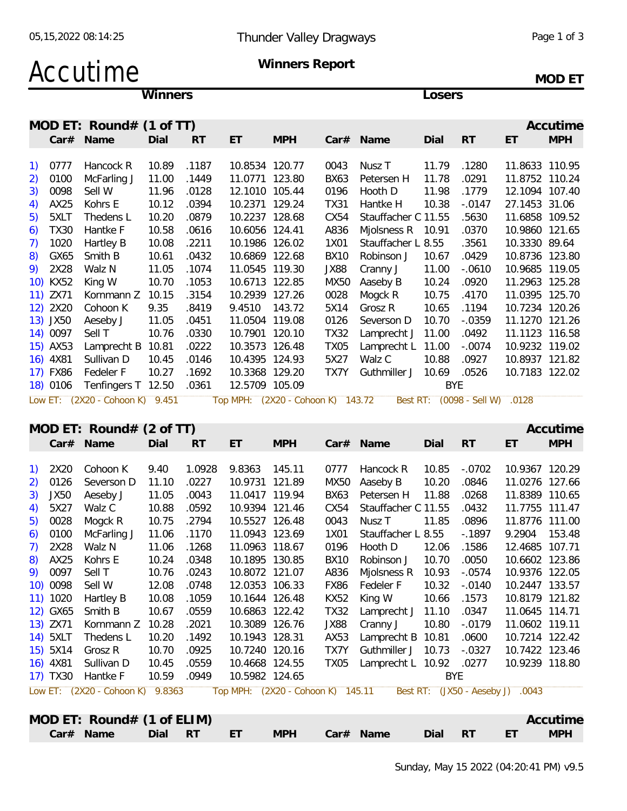### Accutime

Winners

Winners Report

MOD ET

Losers

|                                                |             | MOD ET: Round# $(1$ of TT)          |       |           |                |                     |             |                     |            |                 |                | Accutime   |
|------------------------------------------------|-------------|-------------------------------------|-------|-----------|----------------|---------------------|-------------|---------------------|------------|-----------------|----------------|------------|
|                                                | Car#        | Name                                | Dial  | RT        | ET             | <b>MPH</b>          | Car#        | Name                | Dial       | <b>RT</b>       | ET             | <b>MPH</b> |
|                                                |             |                                     |       |           |                |                     |             |                     |            |                 |                |            |
| $\left( \begin{matrix} 1 \end{matrix} \right)$ | 0777        | Hancock R                           | 10.89 | .1187     | 10.8534        | 120.77              | 0043        | Nusz T              | 11.79      | .1280           | 11.8633 110.95 |            |
| 2)                                             | 0100        | McFarling J                         | 11.00 | .1449     | 11.0771        | 123.80              | <b>BX63</b> | Petersen H          | 11.78      | .0291           | 11.8752 110.24 |            |
| 3)                                             | 0098        | Sell W                              | 11.96 | .0128     | 12.1010        | 105.44              | 0196        | Hooth D             | 11.98      | .1779           | 12.1094 107.40 |            |
| 4)                                             | AX25        | Kohrs E                             | 10.12 | .0394     | 10.2371        | 129.24              | TX31        | Hantke H            | 10.38      | $-.0147$        | 27.1453 31.06  |            |
| 5)                                             | 5XLT        | Thedens L                           | 10.20 | .0879     | 10.2237 128.68 |                     | CX54        | Stauffacher C 11.55 |            | .5630           | 11.6858 109.52 |            |
| 6)                                             | <b>TX30</b> | Hantke F                            | 10.58 | .0616     | 10.6056        | 124.41              | A836        | Mjolsness R         | 10.91      | .0370           | 10.9860        | 121.65     |
| 7)                                             | 1020        | Hartley B                           | 10.08 | .2211     | 10.1986        | 126.02              | 1X01        | Stauffacher L 8.55  |            | .3561           | 10.3330 89.64  |            |
| 8)                                             | GX65        | Smith B                             | 10.61 | .0432     | 10.6869 122.68 |                     | <b>BX10</b> | Robinson J          | 10.67      | .0429           | 10.8736 123.80 |            |
| 9)                                             | 2X28        | Walz N                              | 11.05 | .1074     | 11.0545 119.30 |                     | JX88        | Cranny J            | 11.00      | $-0610$         | 10.9685        | 119.05     |
|                                                | 10) KX52    | King W                              | 10.70 | .1053     | 10.6713        | 122.85              | <b>MX50</b> | Aaseby B            | 10.24      | .0920           | 11.2963 125.28 |            |
|                                                | 11) ZX71    | Kornmann Z                          | 10.15 | .3154     | 10.2939 127.26 |                     | 0028        | Mogck R             | 10.75      | .4170           | 11.0395 125.70 |            |
|                                                | 12) 2X20    | Cohoon K                            | 9.35  | .8419     | 9.4510         | 143.72              | 5X14        | Grosz R             | 10.65      | .1194           | 10.7234 120.26 |            |
|                                                | 13) JX50    | Aeseby J                            | 11.05 | .0451     | 11.0504        | 119.08              | 0126        | Severson D          | 10.70      | $-0.0359$       | 11.1270 121.26 |            |
|                                                | 14) 0097    | Sell T                              | 10.76 | .0330     | 10.7901        | 120.10              | <b>TX32</b> | Lamprecht J         | 11.00      | .0492           | 11.1123        | 116.58     |
|                                                | 15) AX53    | Lamprecht B                         | 10.81 | .0222     | 10.3573        | 126.48              | <b>TX05</b> | Lamprecht L         | 11.00      | $-.0074$        | 10.9232 119.02 |            |
|                                                | 16) 4X81    | Sullivan D                          | 10.45 | .0146     | 10.4395        | 124.93              | 5X27        | Walz C              | 10.88      | .0927           | 10.8937 121.82 |            |
|                                                | 17) FX86    | Fedeler F                           | 10.27 | .1692     | 10.3368        | 129.20              | TX7Y        | Guthmiller J        | 10.69      | .0526           | 10.7183 122.02 |            |
|                                                | 18) 0106    | Tenfingers T 12.50                  |       | .0361     | 12.5709 105.09 |                     |             |                     | <b>BYE</b> |                 |                |            |
|                                                | Low ET:     | $(2X20 - Cohoon K)$                 | 9.451 |           | Top MPH:       | $(2X20 - Cohoon K)$ |             | Best RT:<br>143.72  |            | (0098 - Sell W) | .0128          |            |
|                                                |             | MOD ET: Round# $(2 \text{ of } TT)$ |       |           |                |                     |             |                     |            |                 |                | Accutime   |
|                                                | Car#        | Name                                | Dial  | <b>RT</b> | ET             | <b>MPH</b>          | Car#        | Name                | Dial       | <b>RT</b>       | ET             | <b>MPH</b> |
| $\mathbf{1}$                                   |             | $2V20$ Cohoon V                     | 0.10  | 1 NN 20   | O O O L O      | $11E$ $11$          | ハフフフ        | Llancock D          | 100E       | റാറാ            | 10.0247 120.20 |            |

| 1) | 2X20        | Cohoon K            | 9.40   | 1.0928 | 9.8363         | 145.11              | 0777             | Hancock R           | 10.85      | $-.0702$          | 10.9367 120.29 |        |
|----|-------------|---------------------|--------|--------|----------------|---------------------|------------------|---------------------|------------|-------------------|----------------|--------|
| 2) | 0126        | Severson D          | 11.10  | .0227  | 10.9731        | 121.89              | <b>MX50</b>      | Aaseby B            | 10.20      | .0846             | 11.0276        | 127.66 |
| 3) | <b>JX50</b> | Aeseby J            | 11.05  | .0043  | 11.0417        | 119.94              | BX63             | Petersen H          | 11.88      | .0268             | 11.8389        | 110.65 |
| 4) | 5X27        | Walz C              | 10.88  | .0592  | 10.9394        | 121.46              | CX54             | Stauffacher C 11.55 |            | .0432             | 11.7755        | 111.47 |
| 5) | 0028        | Mogck R             | 10.75  | .2794  | 10.5527        | 126.48              | 0043             | Nusz T              | 11.85      | .0896             | 11.8776        | 111.00 |
| 6) | 0100        | McFarling J         | 11.06  | .1170  | 11.0943        | 123.69              | 1X01             | Stauffacher L 8.55  |            | $-1897$           | 9.2904         | 153.48 |
| 7) | 2X28        | Walz N              | 11.06  | .1268  | 11.0963        | 118.67              | 0196             | Hooth D             | 12.06      | .1586             | 12.4685        | 107.71 |
| 8) | AX25        | Kohrs E             | 10.24  | .0348  | 10.1895        | 130.85              | <b>BX10</b>      | Robinson J          | 10.70      | .0050             | 10.6602        | 123.86 |
| 9) | 0097        | Sell T              | 10.76  | .0243  | 10.8072 121.07 |                     | A836             | Miolsness R         | 10.93      | $-.0574$          | 10.9376        | 122.05 |
|    | 10) 0098    | Sell W              | 12.08  | .0748  | 12.0353        | 106.33              | <b>FX86</b>      | Fedeler F           | 10.32      | $-.0140$          | 10.2447        | 133.57 |
|    | 11) 1020    | Hartley B           | 10.08  | .1059  | 10.1644 126.48 |                     | <b>KX52</b>      | King W              | 10.66      | .1573             | 10.8179 121.82 |        |
|    | 12) GX65    | Smith B             | 10.67  | .0559  | 10.6863        | 122.42              | <b>TX32</b>      | Lamprecht J         | 11.10      | .0347             | 11.0645        | 114.71 |
|    | 13) ZX71    | Kornmann Z          | 10.28  | .2021  | 10.3089        | 126.76              | JX88             | Cranny J            | 10.80      | $-0.0179$         | 11.0602        | 119.11 |
|    | 14) 5XLT    | Thedens L           | 10.20  | .1492  | 10.1943        | 128.31              | AX53             | Lamprecht B         | 10.81      | .0600             | 10.7214 122.42 |        |
|    | 15) 5X14    | Grosz R             | 10.70  | .0925  | 10.7240        | 120.16              | TX7Y             | Guthmiller J        | 10.73      | $-.0327$          | 10.7422        | 123.46 |
|    | 16) 4X81    | Sullivan D          | 10.45  | .0559  | 10.4668        | 124.55              | TX <sub>05</sub> | Lamprecht L         | 10.92      | .0277             | 10.9239        | 118.80 |
|    | 17) TX30    | Hantke F            | 10.59  | .0949  | 10.5982 124.65 |                     |                  |                     | <b>BYE</b> |                   |                |        |
|    | Low ET:     | $(2X20 - Cohoon K)$ | 9.8363 |        | Top MPH:       | $(2X20 - Cohoon K)$ |                  | 145.11<br>Best RT:  |            | (JX50 - Aeseby J) | .0043          |        |
|    |             |                     |        |        |                |                     |                  |                     |            |                   |                |        |
|    |             |                     |        |        |                |                     |                  |                     |            |                   |                |        |

| MOD ET: Round# $(1 \text{ of ELIM})$ |  |               |  |                | Accutime |
|--------------------------------------|--|---------------|--|----------------|----------|
| Car# Name Dial RT ET                 |  | MPH Car# Name |  | Dial RT FT MPH |          |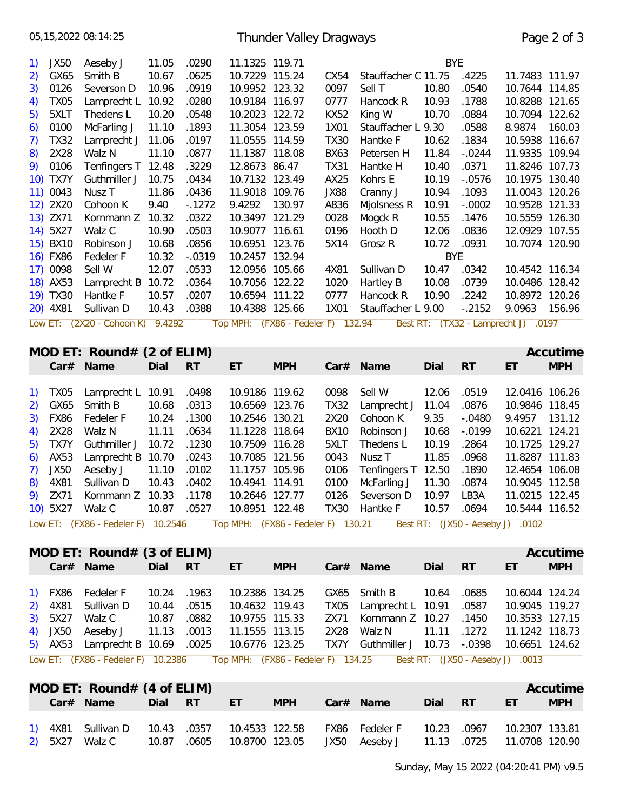|                                                                                          | 05, 15, 2022 08: 14: 25<br><b>Thunder Valley Dragways</b><br>Page 2 of 3                                                                                      |                                                                                                                                                                                                   |                                                                                                                                    |                                                                                                                                       |                                                                                                                                                                                                                                                                   |                                                  |                                                                                                                                                 |                                                                                                                                                                                                                                                                           |                                                                                                                        |                                                                                                                                    |                                                                                                                                                                                                                                    |                                                |  |  |
|------------------------------------------------------------------------------------------|---------------------------------------------------------------------------------------------------------------------------------------------------------------|---------------------------------------------------------------------------------------------------------------------------------------------------------------------------------------------------|------------------------------------------------------------------------------------------------------------------------------------|---------------------------------------------------------------------------------------------------------------------------------------|-------------------------------------------------------------------------------------------------------------------------------------------------------------------------------------------------------------------------------------------------------------------|--------------------------------------------------|-------------------------------------------------------------------------------------------------------------------------------------------------|---------------------------------------------------------------------------------------------------------------------------------------------------------------------------------------------------------------------------------------------------------------------------|------------------------------------------------------------------------------------------------------------------------|------------------------------------------------------------------------------------------------------------------------------------|------------------------------------------------------------------------------------------------------------------------------------------------------------------------------------------------------------------------------------|------------------------------------------------|--|--|
| 1)<br>2)<br>3)<br>4)<br>5)<br>6)<br>7)<br>8)<br>9)<br>12)                                | <b>JX50</b><br>GX65<br>0126<br><b>TX05</b><br>5XLT<br>0100<br><b>TX32</b><br>2X28<br>0106<br>10) TX7Y<br>11) 0043<br>2X20<br>13) ZX71<br>14) 5X27<br>15) BX10 | Aeseby J<br>Smith B<br>Severson D<br>Lamprecht L<br>Thedens L<br>McFarling J<br>Lamprecht J<br>Walz N<br>Tenfingers T<br>Guthmiller J<br>Nusz T<br>Cohoon K<br>Kornmann Z<br>Walz C<br>Robinson J | 11.05<br>10.67<br>10.96<br>10.92<br>10.20<br>11.10<br>11.06<br>11.10<br>12.48<br>10.75<br>11.86<br>9.40<br>10.32<br>10.90<br>10.68 | .0290<br>.0625<br>.0919<br>.0280<br>.0548<br>.1893<br>.0197<br>.0877<br>.3229<br>.0434<br>.0436<br>$-1272$<br>.0322<br>.0503<br>.0856 | 11.1325 119.71<br>10.7229 115.24<br>10.9952 123.32<br>10.9184 116.97<br>10.2023 122.72<br>11.3054 123.59<br>11.0555 114.59<br>11.1387 118.08<br>12.8673 86.47<br>10.7132 123.49<br>11.9018 109.76<br>9.4292<br>10.3497 121.29<br>10.9077 116.61<br>10.6951 123.76 | 130.97                                           | CX54<br>0097<br>0777<br><b>KX52</b><br>1X01<br><b>TX30</b><br><b>BX63</b><br><b>TX31</b><br>AX25<br><b>JX88</b><br>A836<br>0028<br>0196<br>5X14 | Stauffacher C 11.75<br>Sell T<br>Hancock R<br>King W<br>Stauffacher L 9.30<br>Hantke F<br>Petersen H<br>Hantke H<br>Kohrs E<br>Cranny J<br>Mjolsness R<br>Mogck R<br>Hooth D<br>Grosz R                                                                                   | <b>BYE</b><br>10.80<br>10.93<br>10.70<br>10.62<br>11.84<br>10.40<br>10.19<br>10.94<br>10.91<br>10.55<br>12.06<br>10.72 | .4225<br>.0540<br>.1788<br>.0884<br>.0588<br>.1834<br>$-.0244$<br>.0371<br>$-0576$<br>.1093<br>$-.0002$<br>.1476<br>.0836<br>.0931 | 11.7483 111.97<br>10.7644 114.85<br>10.8288 121.65<br>10.7094 122.62<br>8.9874<br>10.5938<br>11.9335<br>11.8246 107.73<br>10.1975 130.40<br>11.0043 120.26<br>10.9528 121.33<br>10.5559 126.30<br>12.0929 107.55<br>10.7074 120.90 | 160.03<br>116.67<br>109.94                     |  |  |
|                                                                                          | 16) FX86<br>17) 0098<br>18) AX53<br>19) TX30<br>20) 4X81<br>Car#                                                                                              | Fedeler F<br>Sell W<br>Lamprecht B<br>Hantke F<br>Sullivan D<br>Low ET: (2X20 - Cohoon K)<br>MOD ET: Round# $(2 \text{ of ELIM})$<br>Name                                                         | 10.32<br>12.07<br>10.72<br>10.57<br>10.43<br>9.4292<br>Dial                                                                        | $-.0319$<br>.0533<br>.0364<br>.0207<br>.0388<br><b>RT</b>                                                                             | 10.2457 132.94<br>12.0956 105.66<br>10.7056 122.22<br>10.6594 111.22<br>10.4388 125.66<br>ET                                                                                                                                                                      | Top MPH: (FX86 - Fedeler F) 132.94<br><b>MPH</b> | 4X81<br>1020<br>0777<br>1X01<br>Car#                                                                                                            | Sullivan D<br>Hartley B<br>Hancock R<br>Stauffacher L 9.00<br>Name                                                                                                                                                                                                        | <b>BYE</b><br>10.47<br>10.08<br>10.90<br>Dial                                                                          | .0342<br>.0739<br>.2242<br>$-.2152$<br><b>RT</b>                                                                                   | 10.4542 116.34<br>10.0486 128.42<br>10.8972 120.26<br>9.0963<br>Best RT: (TX32 - Lamprecht J) .0197<br>ET                                                                                                                          | 156.96<br>Accutime<br><b>MPH</b>               |  |  |
| $\left( \begin{matrix} 1 \end{matrix} \right)$<br>2)<br>3)<br>4)<br>5)<br>6)<br>7)<br>8) | <b>TX05</b><br>GX65<br><b>FX86</b><br>2X28<br>TX7Y<br>AX53<br><b>JX50</b><br>4X81<br>9) ZX71                                                                  | Lamprecht L<br>Smith B<br>Fedeler F<br>Walz N<br>Guthmiller J<br>Lamprecht B<br>Aeseby J<br>Sullivan D<br>1178. Kornmann Z 10.33<br>10) 5X27 Walz C                                               | 10.91<br>10.68<br>10.24<br>11.11<br>10.72<br>10.70<br>11.10<br>10.43<br>10.87 .0527                                                | .0498<br>.0313<br>.1300<br>.0634<br>.1230<br>.0243<br>.0102<br>.0402                                                                  | 10.9186 119.62<br>10.6569 123.76<br>10.2546 130.21<br>11.1228 118.64<br>10.7509 116.28<br>10.7085 121.56<br>11.1757 105.96<br>10.4941 114.91<br>10.8951 122.48                                                                                                    | 10.2646 127.77                                   | 0098<br><b>TX32</b><br>2X20<br><b>BX10</b><br>5XLT<br>0043<br>0106<br>0100                                                                      | Sell W<br>Lamprecht J<br>Cohoon K<br>Robinson J<br>Thedens L<br>Nusz <sub>T</sub><br>Tenfingers T<br>McFarling J<br>0126 Severson D 10.97 LB3A<br>TX30 Hantke F<br>Low ET: (FX86 - Fedeler F) 10.2546 Top MPH: (FX86 - Fedeler F) 130.21 Best RT: (JX50 - Aeseby J) .0102 | 12.06<br>11.04<br>9.35<br>10.68<br>10.19<br>11.85<br>12.50<br>11.30<br>10.57 .0694                                     | .0519<br>.0876<br>$-.0480$<br>$-0.0199$<br>.2864<br>.0968<br>.1890<br>.0874                                                        | 12.0416<br>10.9846<br>9.4957<br>10.6221<br>10.1725<br>11.8287 111.83<br>12.4654 106.08<br>10.9045 112.58<br>11.0215 122.45<br>10.5444 116.52                                                                                       | 106.26<br>118.45<br>131.12<br>124.21<br>129.27 |  |  |
|                                                                                          |                                                                                                                                                               | MOD ET: Round# $(3$ of ELIM)<br>Car# Name                                                                                                                                                         | Dial                                                                                                                               | <b>RT</b>                                                                                                                             | ET                                                                                                                                                                                                                                                                | <b>MPH</b>                                       |                                                                                                                                                 | Car# Name                                                                                                                                                                                                                                                                 | Dial                                                                                                                   | RT                                                                                                                                 | ET                                                                                                                                                                                                                                 | Accutime<br><b>MPH</b>                         |  |  |
| 2)<br>3)<br>4)                                                                           | 1) FX86<br>4X81<br>5X27<br>JX50                                                                                                                               | Fedeler F<br>Sullivan D<br>Walz C<br>Aeseby J<br>5) AX53 Lamprecht B 10.69                                                                                                                        | 10.24<br>10.44<br>10.87<br>11.13                                                                                                   | .1963<br>.0515<br>.0882<br>.0013<br>.0025                                                                                             | 10.2386 134.25<br>10.4632 119.43<br>10.9755 115.33<br>11.1555 113.15<br>10.6776 123.25                                                                                                                                                                            |                                                  | GX65<br><b>TX05</b><br>ZX71<br>2X28<br>TX7Y                                                                                                     | Smith B<br>Lamprecht L 10.91<br>Kornmann Z 10.27<br>Walz N<br>Guthmiller J 10.73<br>Low ET: (FX86 - Fedeler F) 10.2386 Top MPH: (FX86 - Fedeler F) 134.25 Best RT: (JX50 - Aeseby J) .0013                                                                                | 10.64<br>11.11                                                                                                         | .0685<br>.0587<br>.1450<br>.1272<br>$-.0398$                                                                                       | 10.6044 124.24<br>10.9045 119.27<br>10.3533 127.15<br>11.1242 118.73<br>10.6651 124.62                                                                                                                                             |                                                |  |  |
|                                                                                          |                                                                                                                                                               | MOD ET: Round# $(4 \text{ of ELIM})$                                                                                                                                                              |                                                                                                                                    |                                                                                                                                       |                                                                                                                                                                                                                                                                   |                                                  |                                                                                                                                                 |                                                                                                                                                                                                                                                                           |                                                                                                                        |                                                                                                                                    |                                                                                                                                                                                                                                    | Accutime                                       |  |  |

|  | $NUU$ El: ROUNC # (4 OT ELINI)                |  |               |                                           |           |                              | Accutime   |
|--|-----------------------------------------------|--|---------------|-------------------------------------------|-----------|------------------------------|------------|
|  | Car# Name Dial RT ET                          |  | MPH Car# Name |                                           | Dial RT - | <b>Control Communication</b> | <b>MPH</b> |
|  | 1) 4X81 Sullivan D 10.43 .0357 10.4533 122.58 |  |               | FX86 Fedeler F 10.23 .0967 10.2307 133.81 |           |                              |            |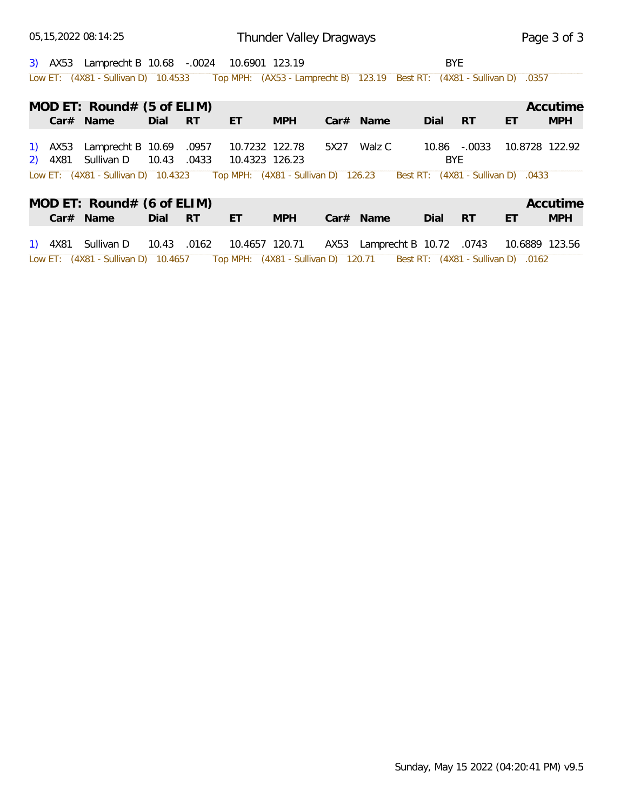05,15,2022 08:14:25

3) AX53 Lamprecht B 10.68 -.0024 10.6901 123.19 BYE Low ET: (4X81 - Sullivan D) 10.4533 Top MPH: (AX53 - Lamprecht B) 123.19 Best RT: (4X81 - Sullivan D) .0357

|         | MOD ET: Round# $(5 \text{ of ELIM})$                                                          |       |           |                |            |      |                              |       |           |                                    | Accutime       |
|---------|-----------------------------------------------------------------------------------------------|-------|-----------|----------------|------------|------|------------------------------|-------|-----------|------------------------------------|----------------|
|         | $Car#$ Name                                                                                   | Dial  | RT        | ET.            | <b>MPH</b> |      | $Car#$ Name                  | Dial  | -RT       | ET                                 | <b>MPH</b>     |
| 1) AX53 | Lamprecht B 10.69                                                                             |       | .0957     | 10.7232 122.78 |            | 5X27 | Walz C                       | 10.86 | $-.0033$  |                                    | 10.8728 122.92 |
|         | 2) 4X81 Sullivan D<br>Low ET: (4X81 - Sullivan D) 10.4323 Top MPH: (4X81 - Sullivan D) 126.23 | 10.43 | .0433     | 10.4323 126.23 |            |      |                              | BYE   |           | Best RT: (4X81 - Sullivan D) .0433 |                |
|         |                                                                                               |       |           |                |            |      |                              |       |           |                                    |                |
|         | MOD ET: $Round# (6 of ELIM)$                                                                  |       |           |                |            |      |                              |       |           |                                    | Accutime       |
|         | Car# Name                                                                                     | Dial  | <b>RT</b> | ET.            | <b>MPH</b> |      | $Car#$ Name                  | Dial  | <b>RT</b> | ET                                 | <b>MPH</b>     |
|         | 1) 4X81 Sullivan D                                                                            | 10.43 | .0162     | 10.4657 120.71 |            |      | AX53 Lamprecht B 10.72 .0743 |       |           |                                    | 10.6889 123.56 |
|         | Low ET: (4X81 - Sullivan D) 10.4657 Top MPH: (4X81 - Sullivan D) 120.71                       |       |           |                |            |      |                              |       |           | Best RT: (4X81 - Sullivan D) .0162 |                |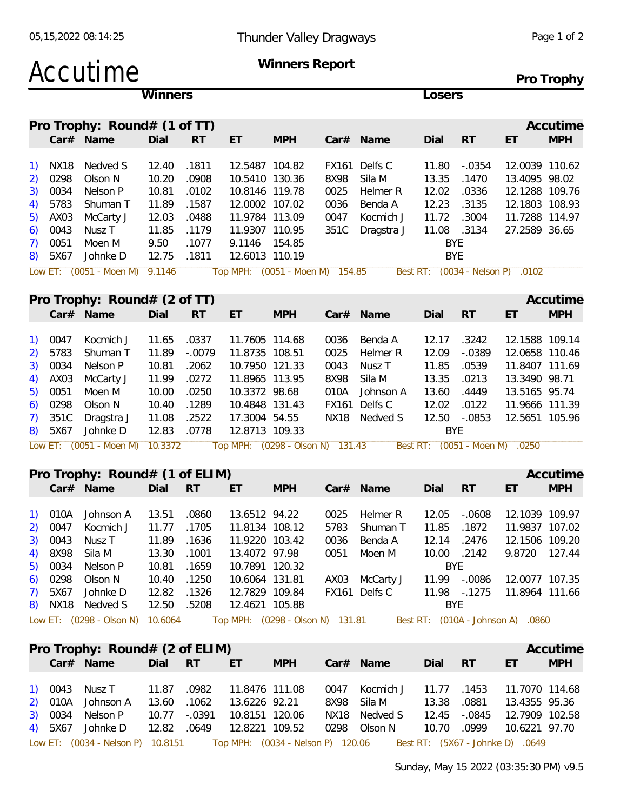### Accutime **Winners Report**

**Pro Trophy**

|    |      |                                                         | <b>Winners</b> |           |                                 |            |      |                 | Losers |            |                                  |                     |
|----|------|---------------------------------------------------------|----------------|-----------|---------------------------------|------------|------|-----------------|--------|------------|----------------------------------|---------------------|
|    |      | Pro Trophy: $Round# (1 of TT)$                          |                |           |                                 |            |      |                 |        |            |                                  | Accutime            |
|    |      | $Car#$ Name                                             | Dial           | <b>RT</b> | ET                              | <b>MPH</b> |      | $Car#$ Name     | Dial   | <b>RT</b>  | ET                               | <b>MPH</b>          |
|    | NX18 | Nedved S                                                | 12.40          | .1811     | 12.5487 104.82                  |            |      | FX161 Delfs C   | 11.80  | $-.0354$   | 12.0039 110.62                   |                     |
| 2) | 0298 | Olson N                                                 | 10.20          | .0908     | 10.5410 130.36                  |            | 8X98 | Sila M          | 13.35  | .1470      | 13.4095 98.02                    |                     |
| 3) | 0034 | Nelson P                                                | 10.81          | .0102     | 10.8146 119.78                  |            | 0025 | Helmer R        | 12.02  | .0336      | 12.1288 109.76                   |                     |
| 4) | 5783 | Shuman T                                                | 11.89          | .1587     | 12.0002 107.02                  |            | 0036 | Benda A         | 12.23  | .3135      | 12.1803 108.93                   |                     |
| 5) | AX03 | McCarty J                                               | 12.03          | .0488     | 11.9784 113.09                  |            | 0047 | Kocmich J       | 11.72  | .3004      | 11.7288 114.97                   |                     |
| 6) | 0043 | Nusz T                                                  | 11.85          | .1179     | 11.9307 110.95                  |            |      | 351C Dragstra J | 11.08  | .3134      | 27.2589 36.65                    |                     |
|    | 0051 | Moen M                                                  | 9.50           | .1077     | 9.1146 154.85                   |            |      |                 |        | BYE.       |                                  |                     |
| 8) | 5X67 | Johnke D                                                | 12.75          | .1811     | 12.6013 110.19                  |            |      |                 |        | <b>BYE</b> |                                  |                     |
|    |      | Low ET: (0051 - Moen M) 9.1146                          |                |           | Top MPH: (0051 - Moen M) 154.85 |            |      |                 |        |            | Best RT: (0034 - Nelson P) .0102 |                     |
|    |      |                                                         |                |           |                                 |            |      |                 |        |            |                                  |                     |
|    |      | $D_{\text{LO}}$ Traphu, $D_{\text{OUB}}$ $\#$ (2 of TT) |                |           |                                 |            |      |                 |        |            |                                  | $\Lambda$ courtings |

|           | Pro Trophy: $Round# (2 of TT)$ |       |           |                |            |       |               |            |           |                | Accutime   |
|-----------|--------------------------------|-------|-----------|----------------|------------|-------|---------------|------------|-----------|----------------|------------|
|           | Car# Name                      | Dial  | <b>RT</b> | ET             | <b>MPH</b> |       | $Car#$ Name   | Dial       | <b>RT</b> | ET             | <b>MPH</b> |
| 1) 0047   | Kocmich J                      | 11.65 | .0337     | 11.7605 114.68 |            | 0036  | Benda A       | 12.17      | .3242     | 12.1588 109.14 |            |
| 2) 5783   | Shuman T                       | 11.89 | -.0079    | 11.8735 108.51 |            | 0025  | Helmer R      | 12.09      | $-.0389$  | 12.0658 110.46 |            |
| 3) 0034   | Nelson P                       | 10.81 | .2062     | 10.7950 121.33 |            | 0043  | Nusz T        | 11.85      | .0539     | 11.8407 111.69 |            |
| 4) AX03   | McCarty J                      | 11.99 | .0272     | 11.8965 113.95 |            | 8X98  | Sila M        | 13.35      | .0213     | 13.3490 98.71  |            |
| 5) 0051   | Moen M                         | 10.00 | .0250     | 10.3372 98.68  |            | 010A  | Johnson A     | 13.60      | .4449     | 13.5165 95.74  |            |
| $6)$ 0298 | Olson N                        | 10.40 | .1289     | 10.4848 131.43 |            | FX161 | Delfs C       | 12.02      | .0122     | 11.9666 111.39 |            |
| 7) 351C   | Dragstra J                     | 11.08 | .2522     | 17.3004 54.55  |            |       | NX18 Nedved S | 12.50      | -.0853    | 12.5651 105.96 |            |
| 8) 5X67   | Johnke D                       | 12.83 | .0778     | 12.8713 109.33 |            |       |               | <b>BYE</b> |           |                |            |

#### **Pro Trophy: Round# (1 of ELIM) Accutime Accutime Accutime**

|           | $Car#$ Name                   | Dial        | <b>RT</b> | ET             | <b>MPH</b> |      | $Car#$ Name    | Dial         | RT     | ET             | <b>MPH</b> |
|-----------|-------------------------------|-------------|-----------|----------------|------------|------|----------------|--------------|--------|----------------|------------|
|           |                               |             |           |                |            |      |                |              |        |                |            |
|           | 1) 010A Johnson A 13.51 .0860 |             |           | 13.6512 94.22  |            |      | 0025 Helmer R  | 12.05        | -.0608 | 12.1039 109.97 |            |
|           | 2) 0047 Kocmich J             | 11.77 .1705 |           | 11.8134 108.12 |            |      | 5783 Shuman T  | 11.85 .1872  |        | 11.9837 107.02 |            |
|           | 3) 0043 Nusz T                | 11.89 .1636 |           | 11.9220 103.42 |            | 0036 | Benda A        | 12.14        | .2476  | 12.1506 109.20 |            |
|           | 4) 8X98 Sila M                | 13.30 .1001 |           | 13.4072 97.98  |            |      | 0051 Moen M    | 10.00 .2142  |        | 9.8720 127.44  |            |
|           | 5) 0034 Nelson P              | 10.81 .1659 |           | 10.7891 120.32 |            |      |                | BYE.         |        |                |            |
| $6)$ 0298 | Olson N                       | 10.40 .1250 |           | 10.6064 131.81 |            |      | AX03 McCarty J | 11.99 -.0086 |        | 12.0077 107.35 |            |
| 7) 5X67   | Johnke D                      | 12.82 .1326 |           | 12.7829 109.84 |            |      | FX161 Delfs C  | 11.98 -.1275 |        | 11.8964 111.66 |            |
|           | 8) NX18 Nedved S              | 12.50 .5208 |           | 12.4621 105.88 |            |      |                | <b>BYE</b>   |        |                |            |
|           |                               |             |           |                |            |      |                |              |        |                |            |

Low ET: (0298 - Olson N) 10.6064 Top MPH: (0298 - Olson N) 131.81 Best RT: (010A - Johnson A) .0860

| Pro Trophy: Round# (2 of ELIM) |                    |                                       |                             | Accutime         |
|--------------------------------|--------------------|---------------------------------------|-----------------------------|------------------|
| Car# Name<br>Dial<br>RT RT     | <b>MPH</b><br>ET / | Car# Name                             | Dial RT                     | <b>MPH</b><br>ET |
|                                |                    |                                       |                             |                  |
| 1) 0043 Nusz T 11.87 .0982     | 11.8476 111.08     | 0047 Kocmich J                        | 11.77 .1453 11.7070 114.68  |                  |
| 2) 010A Johnson A 13.60 .1062  | 13.6226 92.21      | 8X98 Sila M 13.38 .0881 13.4355 95.36 |                             |                  |
| 3) 0034 Nelson P 10.77 -.0391  | 10.8151 120.06     | NX18 Nedved S                         | 12.45 -.0845 12.7909 102.58 |                  |
| 4) 5X67 Johnke D 12.82 .0649   | 12.8221 109.52     | 0298 Olson N                          | 10.70<br>.0999              | 10.6221 97.70    |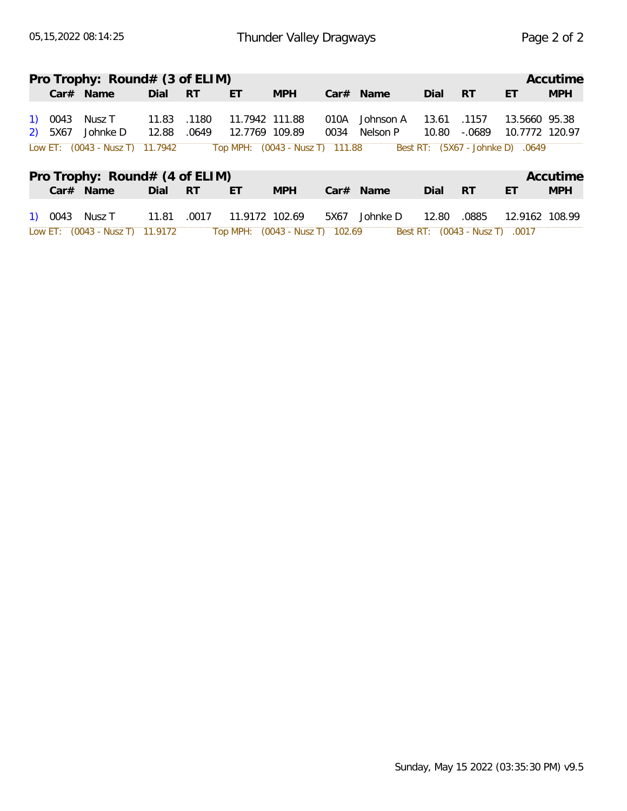|         | Pro Trophy: $Round# (3 of ELIM)$             |       |       |                                                   |            |      |             |       |                                |                                                    | Accutime   |
|---------|----------------------------------------------|-------|-------|---------------------------------------------------|------------|------|-------------|-------|--------------------------------|----------------------------------------------------|------------|
|         | $Car#$ Name                                  | Dial  | - RT  | ET                                                | <b>MPH</b> |      | $Car#$ Name | Dial  | <b>RT</b>                      | ET                                                 | <b>MPH</b> |
| 1) 0043 | Nusz T                                       | 11.83 | .1180 | 11.7942 111.88                                    |            | 010A | Johnson A   | 13.61 | .1157                          | 13.5660 95.38                                      |            |
| 2) 5X67 | Johnke D<br>Low ET: $(0043 - NuszT)$ 11.7942 | 12.88 | .0649 | 12.7769 109.89<br>Top MPH: (0043 - Nusz T) 111.88 |            | 0034 | Nelson P    | 10.80 | -.0689                         | 10.7772 120.97<br>Best RT: (5X67 - Johnke D) .0649 |            |
|         |                                              |       |       |                                                   |            |      |             |       |                                |                                                    |            |
|         | Pro Trophy: Round# (4 of ELIM)               |       |       |                                                   |            |      |             |       |                                |                                                    | Accutime   |
|         | Car# Name                                    | Dial  | - RT  | ET                                                | <b>MPH</b> |      | $Car#$ Name | Dial  | <b>RT</b>                      | ET                                                 | <b>MPH</b> |
|         | 1) 0043 Nusz T                               | 11.81 | .0017 | 11.9172 102.69                                    |            | 5X67 | Johnke D    | 12.80 | .0885                          | 12.9162 108.99                                     |            |
|         | Low ET: (0043 - Nusz T) 11.9172              |       |       | Top MPH: (0043 - Nusz T) 102.69                   |            |      |             |       | Best RT: (0043 - Nusz T) .0017 |                                                    |            |